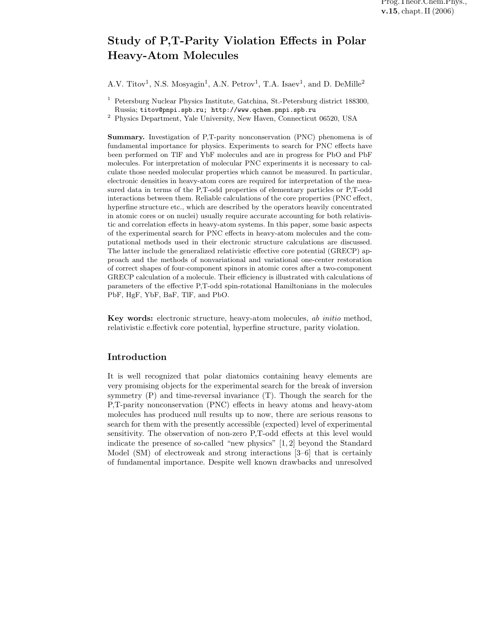# Study of P,T-Parity Violation Effects in Polar Heavy-Atom Molecules

A.V. Titov<sup>1</sup>, N.S. Mosyagin<sup>1</sup>, A.N. Petrov<sup>1</sup>, T.A. Isaev<sup>1</sup>, and D. DeMille<sup>2</sup>

<sup>1</sup> Petersburg Nuclear Physics Institute, Gatchina, St.-Petersburg district 188300, Russia; titov@pnpi.spb.ru; http://www.qchem.pnpi.spb.ru

<sup>2</sup> Physics Department, Yale University, New Haven, Connecticut 06520, USA

Summary. Investigation of P,T-parity nonconservation (PNC) phenomena is of fundamental importance for physics. Experiments to search for PNC effects have been performed on TlF and YbF molecules and are in progress for PbO and PbF molecules. For interpretation of molecular PNC experiments it is necessary to calculate those needed molecular properties which cannot be measured. In particular, electronic densities in heavy-atom cores are required for interpretation of the measured data in terms of the P,T-odd properties of elementary particles or P,T-odd interactions between them. Reliable calculations of the core properties (PNC effect, hyperfine structure etc., which are described by the operators heavily concentrated in atomic cores or on nuclei) usually require accurate accounting for both relativistic and correlation effects in heavy-atom systems. In this paper, some basic aspects of the experimental search for PNC effects in heavy-atom molecules and the computational methods used in their electronic structure calculations are discussed. The latter include the generalized relativistic effective core potential (GRECP) approach and the methods of nonvariational and variational one-center restoration of correct shapes of four-component spinors in atomic cores after a two-component GRECP calculation of a molecule. Their efficiency is illustrated with calculations of parameters of the effective P,T-odd spin-rotational Hamiltonians in the molecules PbF, HgF, YbF, BaF, TlF, and PbO.

Key words: electronic structure, heavy-atom molecules, ab initio method, relativistic e.ffectivk core potential, hyperfine structure, parity violation.

### Introduction

It is well recognized that polar diatomics containing heavy elements are very promising objects for the experimental search for the break of inversion symmetry (P) and time-reversal invariance (T). Though the search for the P,T-parity nonconservation (PNC) effects in heavy atoms and heavy-atom molecules has produced null results up to now, there are serious reasons to search for them with the presently accessible (expected) level of experimental sensitivity. The observation of non-zero P,T-odd effects at this level would indicate the presence of so-called "new physics" [1, 2] beyond the Standard Model (SM) of electroweak and strong interactions [3–6] that is certainly of fundamental importance. Despite well known drawbacks and unresolved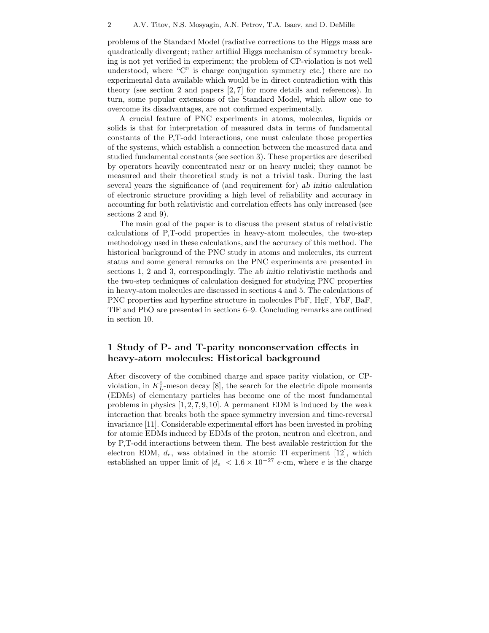problems of the Standard Model (radiative corrections to the Higgs mass are quadratically divergent; rather artifiial Higgs mechanism of symmetry breaking is not yet verified in experiment; the problem of CP-violation is not well understood, where "C" is charge conjugation symmetry etc.) there are no experimental data available which would be in direct contradiction with this theory (see section 2 and papers [2, 7] for more details and references). In turn, some popular extensions of the Standard Model, which allow one to overcome its disadvantages, are not confirmed experimentally.

A crucial feature of PNC experiments in atoms, molecules, liquids or solids is that for interpretation of measured data in terms of fundamental constants of the P,T-odd interactions, one must calculate those properties of the systems, which establish a connection between the measured data and studied fundamental constants (see section 3). These properties are described by operators heavily concentrated near or on heavy nuclei; they cannot be measured and their theoretical study is not a trivial task. During the last several years the significance of (and requirement for) ab initio calculation of electronic structure providing a high level of reliability and accuracy in accounting for both relativistic and correlation effects has only increased (see sections 2 and 9).

The main goal of the paper is to discuss the present status of relativistic calculations of P,T-odd properties in heavy-atom molecules, the two-step methodology used in these calculations, and the accuracy of this method. The historical background of the PNC study in atoms and molecules, its current status and some general remarks on the PNC experiments are presented in sections 1, 2 and 3, correspondingly. The ab initio relativistic methods and the two-step techniques of calculation designed for studying PNC properties in heavy-atom molecules are discussed in sections 4 and 5. The calculations of PNC properties and hyperfine structure in molecules PbF, HgF, YbF, BaF, TlF and PbO are presented in sections 6–9. Concluding remarks are outlined in section 10.

### 1 Study of P- and T-parity nonconservation effects in heavy-atom molecules: Historical background

After discovery of the combined charge and space parity violation, or CPviolation, in  $K^0_L$ -meson decay [8], the search for the electric dipole moments (EDMs) of elementary particles has become one of the most fundamental problems in physics  $[1, 2, 7, 9, 10]$ . A permanent EDM is induced by the weak interaction that breaks both the space symmetry inversion and time-reversal invariance [11]. Considerable experimental effort has been invested in probing for atomic EDMs induced by EDMs of the proton, neutron and electron, and by P,T-odd interactions between them. The best available restriction for the electron EDM,  $d_e$ , was obtained in the atomic Tl experiment [12], which established an upper limit of  $|d_e| < 1.6 \times 10^{-27}$  e·cm, where e is the charge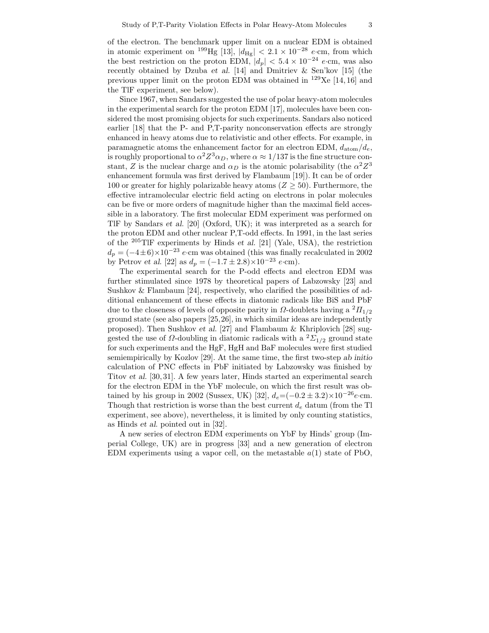of the electron. The benchmark upper limit on a nuclear EDM is obtained in atomic experiment on <sup>199</sup>Hg [13],  $|d_{\text{Hg}}| < 2.1 \times 10^{-28}$  e·cm, from which the best restriction on the proton EDM,  $|d_p| < 5.4 \times 10^{-24}$  e·cm, was also recently obtained by Dzuba et al. [14] and Dmitriev & Sen'kov [15] (the previous upper limit on the proton EDM was obtained in  $^{129}Xe$  [14, 16] and the TlF experiment, see below).

Since 1967, when Sandars suggested the use of polar heavy-atom molecules in the experimental search for the proton EDM [17], molecules have been considered the most promising objects for such experiments. Sandars also noticed earlier [18] that the P- and P,T-parity nonconservation effects are strongly enhanced in heavy atoms due to relativistic and other effects. For example, in paramagnetic atoms the enhancement factor for an electron EDM,  $d_{\text{atom}}/d_e$ , is roughly proportional to  $\alpha^2 Z^3 \alpha_D$ , where  $\alpha \approx 1/137$  is the fine structure constant, Z is the nuclear charge and  $\alpha_D$  is the atomic polarisability (the  $\alpha^2 Z^3$ enhancement formula was first derived by Flambaum [19]). It can be of order 100 or greater for highly polarizable heavy atoms  $(Z > 50)$ . Furthermore, the effective intramolecular electric field acting on electrons in polar molecules can be five or more orders of magnitude higher than the maximal field accessible in a laboratory. The first molecular EDM experiment was performed on TlF by Sandars et al. [20] (Oxford, UK); it was interpreted as a search for the proton EDM and other nuclear P,T-odd effects. In 1991, in the last series of the  $^{205}$ TlF experiments by Hinds et al. [21] (Yale, USA), the restriction  $d_p = (-4\pm6)\times10^{-23}$  e·cm was obtained (this was finally recalculated in 2002 by Petrov et al. [22] as  $d_p = (-1.7 \pm 2.8) \times 10^{-23} e \cdot$ cm).

The experimental search for the P-odd effects and electron EDM was further stimulated since 1978 by theoretical papers of Labzowsky [23] and Sushkov & Flambaum  $[24]$ , respectively, who clarified the possibilities of additional enhancement of these effects in diatomic radicals like BiS and PbF due to the closeness of levels of opposite parity in  $\Omega$ -doublets having a  $^2\Pi_{1/2}$ ground state (see also papers [25,26], in which similar ideas are independently proposed). Then Sushkov et al. [27] and Flambaum & Khriplovich [28] suggested the use of  $\Omega$ -doubling in diatomic radicals with a  ${}^{2}\Sigma_{1/2}$  ground state for such experiments and the HgF, HgH and BaF molecules were first studied semiempirically by Kozlov [29]. At the same time, the first two-step ab initio calculation of PNC effects in PbF initiated by Labzowsky was finished by Titov et al. [30, 31]. A few years later, Hinds started an experimental search for the electron EDM in the YbF molecule, on which the first result was obtained by his group in 2002 (Sussex, UK) [32],  $d_e = (-0.2 \pm 3.2) \times 10^{-26} e$ ·cm. Though that restriction is worse than the best current  $d_e$  datum (from the Tl experiment, see above), nevertheless, it is limited by only counting statistics, as Hinds et al. pointed out in [32].

A new series of electron EDM experiments on YbF by Hinds' group (Imperial College, UK) are in progress [33] and a new generation of electron EDM experiments using a vapor cell, on the metastable  $a(1)$  state of PbO,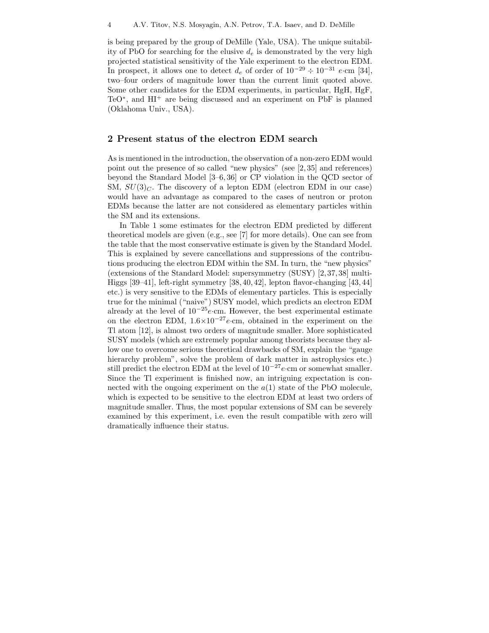is being prepared by the group of DeMille (Yale, USA). The unique suitability of PbO for searching for the elusive  $d_e$  is demonstrated by the very high projected statistical sensitivity of the Yale experiment to the electron EDM. In prospect, it allows one to detect  $d_e$  of order of  $10^{-29} \div 10^{-31}$  e·cm [34], two–four orders of magnitude lower than the current limit quoted above. Some other candidates for the EDM experiments, in particular, HgH, HgF, TeO<sup>∗</sup>, and HI<sup>+</sup> are being discussed and an experiment on PbF is planned (Oklahoma Univ., USA).

### 2 Present status of the electron EDM search

As is mentioned in the introduction, the observation of a non-zero EDM would point out the presence of so called "new physics" (see [2, 35] and references) beyond the Standard Model [3–6, 36] or CP violation in the QCD sector of SM,  $SU(3)_C$ . The discovery of a lepton EDM (electron EDM in our case) would have an advantage as compared to the cases of neutron or proton EDMs because the latter are not considered as elementary particles within the SM and its extensions.

In Table 1 some estimates for the electron EDM predicted by different theoretical models are given (e.g., see [7] for more details). One can see from the table that the most conservative estimate is given by the Standard Model. This is explained by severe cancellations and suppressions of the contributions producing the electron EDM within the SM. In turn, the "new physics" (extensions of the Standard Model: supersymmetry (SUSY) [2,37,38] multi-Higgs [39–41], left-right symmetry [38, 40, 42], lepton flavor-changing [43, 44] etc.) is very sensitive to the EDMs of elementary particles. This is especially true for the minimal ("naive") SUSY model, which predicts an electron EDM already at the level of  $10^{-25}e\cdot$ cm. However, the best experimental estimate on the electron EDM,  $1.6 \times 10^{-27}$ e·cm, obtained in the experiment on the Tl atom [12], is almost two orders of magnitude smaller. More sophisticated SUSY models (which are extremely popular among theorists because they allow one to overcome serious theoretical drawbacks of SM, explain the "gauge hierarchy problem", solve the problem of dark matter in astrophysics etc.) still predict the electron EDM at the level of  $10^{-27}e\cdot$ cm or somewhat smaller. Since the Tl experiment is finished now, an intriguing expectation is connected with the ongoing experiment on the  $a(1)$  state of the PbO molecule, which is expected to be sensitive to the electron EDM at least two orders of magnitude smaller. Thus, the most popular extensions of SM can be severely examined by this experiment, i.e. even the result compatible with zero will dramatically influence their status.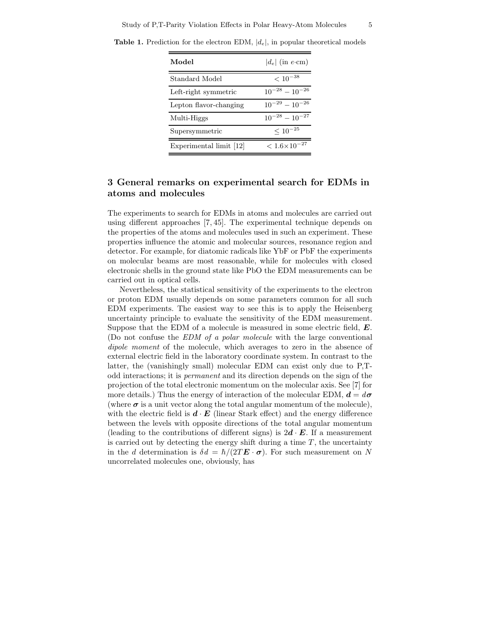| Model                   | $ d_e $ (in e.cm)       |
|-------------------------|-------------------------|
| Standard Model          | $< 10^{-38}$            |
| Left-right symmetric    | $10^{-28} - 10^{-26}$   |
| Lepton flavor-changing  | $10^{-29} - 10^{-26}$   |
| Multi-Higgs             | $10^{-28} - 10^{-27}$   |
| Supersymmetric          | $\leq 10^{-25}$         |
| Experimental limit [12] | $< 1.6 \times 10^{-27}$ |

**Table 1.** Prediction for the electron EDM,  $|d_e|$ , in popular theoretical models

## 3 General remarks on experimental search for EDMs in atoms and molecules

The experiments to search for EDMs in atoms and molecules are carried out using different approaches [7, 45]. The experimental technique depends on the properties of the atoms and molecules used in such an experiment. These properties influence the atomic and molecular sources, resonance region and detector. For example, for diatomic radicals like YbF or PbF the experiments on molecular beams are most reasonable, while for molecules with closed electronic shells in the ground state like PbO the EDM measurements can be carried out in optical cells.

Nevertheless, the statistical sensitivity of the experiments to the electron or proton EDM usually depends on some parameters common for all such EDM experiments. The easiest way to see this is to apply the Heisenberg uncertainty principle to evaluate the sensitivity of the EDM measurement. Suppose that the EDM of a molecule is measured in some electric field,  $E$ . (Do not confuse the EDM of a polar molecule with the large conventional dipole moment of the molecule, which averages to zero in the absence of external electric field in the laboratory coordinate system. In contrast to the latter, the (vanishingly small) molecular EDM can exist only due to P,Todd interactions; it is permanent and its direction depends on the sign of the projection of the total electronic momentum on the molecular axis. See [7] for more details.) Thus the energy of interaction of the molecular EDM,  $d = d\sigma$ (where  $\sigma$  is a unit vector along the total angular momentum of the molecule), with the electric field is  $\mathbf{d} \cdot \mathbf{E}$  (linear Stark effect) and the energy difference between the levels with opposite directions of the total angular momentum (leading to the contributions of different signs) is  $2d \cdot E$ . If a measurement is carried out by detecting the energy shift during a time  $T$ , the uncertainty in the d determination is  $\delta d = \hbar/(2T \mathbf{E} \cdot \boldsymbol{\sigma})$ . For such measurement on N uncorrelated molecules one, obviously, has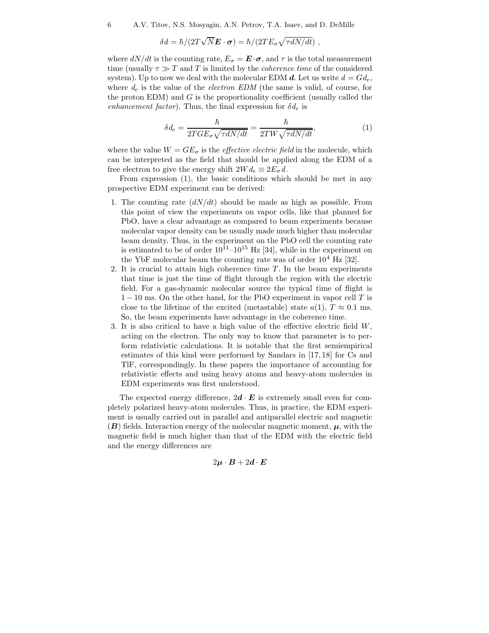6 A.V. Titov, N.S. Mosyagin, A.N. Petrov, T.A. Isaev, and D. DeMille

$$
\delta d = \hbar/(2T\sqrt{N}\mathbf{E}\cdot\boldsymbol{\sigma}) = \hbar/(2TE_{\sigma}\sqrt{\tau dN/dt}) ,
$$

where  $dN/dt$  is the counting rate,  $E_{\sigma} = \mathbf{E} \cdot \boldsymbol{\sigma}$ , and  $\tau$  is the total measurement time (usually  $\tau \gg T$  and T is limited by the *coherence time* of the considered system). Up to now we deal with the molecular EDM d. Let us write  $d = G d_e$ , where  $d_e$  is the value of the *electron EDM* (the same is valid, of course, for the proton EDM) and  $G$  is the proportionality coefficient (usually called the enhancement factor). Thus, the final expression for  $\delta d_e$  is

$$
\delta d_e = \frac{\hbar}{2TGE_\sigma \sqrt{\tau dN/dt}} = \frac{\hbar}{2TW\sqrt{\tau dN/dt}},\tag{1}
$$

where the value  $W = GE_{\sigma}$  is the *effective electric field* in the molecule, which can be interpreted as the field that should be applied along the EDM of a free electron to give the energy shift  $2W d_e \equiv 2E_\sigma d$ .

From expression (1), the basic conditions which should be met in any prospective EDM experiment can be derived:

- 1. The counting rate  $\left(\frac{dN}{dt}\right)$  should be made as high as possible. From this point of view the experiments on vapor cells, like that planned for PbO, have a clear advantage as compared to beam experiments because molecular vapor density can be usually made much higher than molecular beam density. Thus, in the experiment on the PbO cell the counting rate is estimated to be of order  $10^{11}$ – $10^{15}$  Hz [34], while in the experiment on the YbF molecular beam the counting rate was of order  $10^4$  Hz [32].
- 2. It is crucial to attain high coherence time  $T$ . In the beam experiments that time is just the time of flight through the region with the electric field. For a gas-dynamic molecular source the typical time of flight is  $1 - 10$  ms. On the other hand, for the PbO experiment in vapor cell T is close to the lifetime of the excited (metastable) state  $a(1)$ ,  $T \approx 0.1$  ms. So, the beam experiments have advantage in the coherence time.
- 3. It is also critical to have a high value of the effective electric field W, acting on the electron. The only way to know that parameter is to perform relativistic calculations. It is notable that the first semiempirical estimates of this kind were performed by Sandars in [17, 18] for Cs and TlF, correspondingly. In these papers the importance of accounting for relativistic effects and using heavy atoms and heavy-atom molecules in EDM experiments was first understood.

The expected energy difference,  $2d \cdot E$  is extremely small even for completely polarized heavy-atom molecules. Thus, in practice, the EDM experiment is usually carried out in parallel and antiparallel electric and magnetic  $(B)$  fields. Interaction energy of the molecular magnetic moment,  $\mu$ , with the magnetic field is much higher than that of the EDM with the electric field and the energy differences are

$$
2\boldsymbol{\mu} \cdot \boldsymbol{B} + 2\boldsymbol{d} \cdot \boldsymbol{E}
$$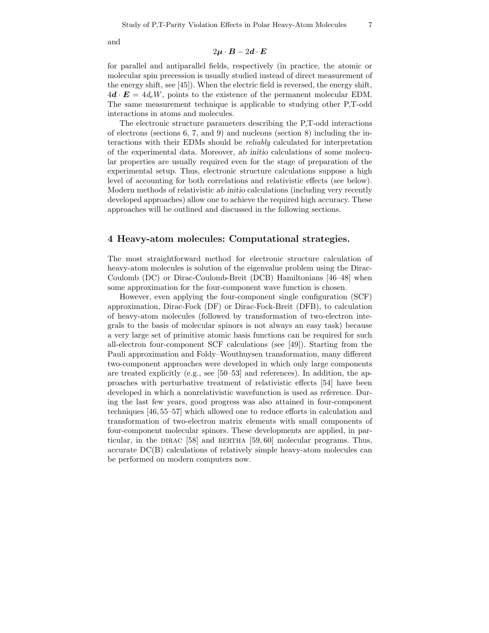and

$$
2\mu \cdot B - 2d \cdot E
$$

for parallel and antiparallel fields, respectively (in practice, the atomic or molecular spin precession is usually studied instead of direct measurement of the energy shift, see [45]). When the electric field is reversed, the energy shift,  $4d \cdot E = 4d_eW$ , points to the existence of the permanent molecular EDM. The same measurement technique is applicable to studying other P,T-odd interactions in atoms and molecules.

The electronic structure parameters describing the P,T-odd interactions of electrons (sections  $6, 7,$  and  $9$ ) and nucleons (section 8) including the interactions with their EDMs should be reliably calculated for interpretation of the experimental data. Moreover, ab initio calculations of some molecular properties are usually required even for the stage of preparation of the experimental setup. Thus, electronic structure calculations suppose a high level of accounting for both correlations and relativistic effects (see below). Modern methods of relativistic ab initio calculations (including very recently developed approaches) allow one to achieve the required high accuracy. These approaches will be outlined and discussed in the following sections.

### 4 Heavy-atom molecules: Computational strategies.

The most straightforward method for electronic structure calculation of heavy-atom molecules is solution of the eigenvalue problem using the Dirac-Coulomb (DC) or Dirac-Coulomb-Breit (DCB) Hamiltonians [46–48] when some approximation for the four-component wave function is chosen.

However, even applying the four-component single configuration (SCF) approximation, Dirac-Fock (DF) or Dirac-Fock-Breit (DFB), to calculation of heavy-atom molecules (followed by transformation of two-electron integrals to the basis of molecular spinors is not always an easy task) because a very large set of primitive atomic basis functions can be required for such all-electron four-component SCF calculations (see [49]). Starting from the Pauli approximation and Foldy–Wouthuysen transformation, many different two-component approaches were developed in which only large components are treated explicitly (e.g., see [50–53] and references). In addition, the approaches with perturbative treatment of relativistic effects [54] have been developed in which a nonrelativistic wavefunction is used as reference. During the last few years, good progress was also attained in four-component techniques [46, 55–57] which allowed one to reduce efforts in calculation and transformation of two-electron matrix elements with small components of four-component molecular spinors. These developments are applied, in particular, in the DIRAC [58] and BERTHA [59, 60] molecular programs. Thus, accurate DC(B) calculations of relatively simple heavy-atom molecules can be performed on modern computers now.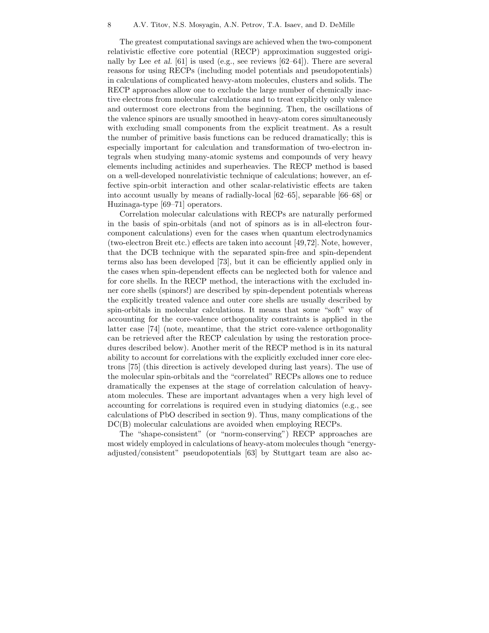The greatest computational savings are achieved when the two-component relativistic effective core potential (RECP) approximation suggested originally by Lee *et al.* [61] is used (e.g., see reviews  $(62-64)$ ). There are several reasons for using RECPs (including model potentials and pseudopotentials) in calculations of complicated heavy-atom molecules, clusters and solids. The RECP approaches allow one to exclude the large number of chemically inactive electrons from molecular calculations and to treat explicitly only valence and outermost core electrons from the beginning. Then, the oscillations of the valence spinors are usually smoothed in heavy-atom cores simultaneously with excluding small components from the explicit treatment. As a result the number of primitive basis functions can be reduced dramatically; this is especially important for calculation and transformation of two-electron integrals when studying many-atomic systems and compounds of very heavy elements including actinides and superheavies. The RECP method is based on a well-developed nonrelativistic technique of calculations; however, an effective spin-orbit interaction and other scalar-relativistic effects are taken into account usually by means of radially-local [62–65], separable [66–68] or Huzinaga-type [69–71] operators.

Correlation molecular calculations with RECPs are naturally performed in the basis of spin-orbitals (and not of spinors as is in all-electron fourcomponent calculations) even for the cases when quantum electrodynamics (two-electron Breit etc.) effects are taken into account [49,72]. Note, however, that the DCB technique with the separated spin-free and spin-dependent terms also has been developed [73], but it can be efficiently applied only in the cases when spin-dependent effects can be neglected both for valence and for core shells. In the RECP method, the interactions with the excluded inner core shells (spinors!) are described by spin-dependent potentials whereas the explicitly treated valence and outer core shells are usually described by spin-orbitals in molecular calculations. It means that some "soft" way of accounting for the core-valence orthogonality constraints is applied in the latter case [74] (note, meantime, that the strict core-valence orthogonality can be retrieved after the RECP calculation by using the restoration procedures described below). Another merit of the RECP method is in its natural ability to account for correlations with the explicitly excluded inner core electrons [75] (this direction is actively developed during last years). The use of the molecular spin-orbitals and the "correlated" RECPs allows one to reduce dramatically the expenses at the stage of correlation calculation of heavyatom molecules. These are important advantages when a very high level of accounting for correlations is required even in studying diatomics (e.g., see calculations of PbO described in section 9). Thus, many complications of the DC(B) molecular calculations are avoided when employing RECPs.

The "shape-consistent" (or "norm-conserving") RECP approaches are most widely employed in calculations of heavy-atom molecules though "energyadjusted/consistent" pseudopotentials [63] by Stuttgart team are also ac-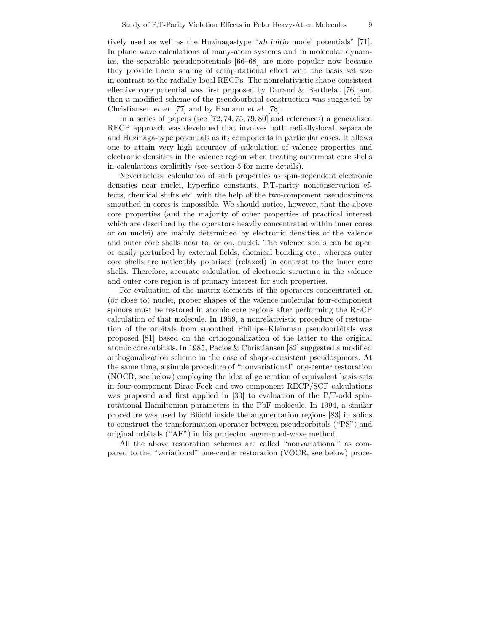tively used as well as the Huzinaga-type "ab initio model potentials" [71]. In plane wave calculations of many-atom systems and in molecular dynamics, the separable pseudopotentials [66–68] are more popular now because they provide linear scaling of computational effort with the basis set size in contrast to the radially-local RECPs. The nonrelativistic shape-consistent effective core potential was first proposed by Durand & Barthelat [76] and then a modified scheme of the pseudoorbital construction was suggested by Christiansen et al. [77] and by Hamann et al. [78].

In a series of papers (see [72, 74, 75, 79, 80] and references) a generalized RECP approach was developed that involves both radially-local, separable and Huzinaga-type potentials as its components in particular cases. It allows one to attain very high accuracy of calculation of valence properties and electronic densities in the valence region when treating outermost core shells in calculations explicitly (see section 5 for more details).

Nevertheless, calculation of such properties as spin-dependent electronic densities near nuclei, hyperfine constants, P,T-parity nonconservation effects, chemical shifts etc. with the help of the two-component pseudospinors smoothed in cores is impossible. We should notice, however, that the above core properties (and the majority of other properties of practical interest which are described by the operators heavily concentrated within inner cores or on nuclei) are mainly determined by electronic densities of the valence and outer core shells near to, or on, nuclei. The valence shells can be open or easily perturbed by external fields, chemical bonding etc., whereas outer core shells are noticeably polarized (relaxed) in contrast to the inner core shells. Therefore, accurate calculation of electronic structure in the valence and outer core region is of primary interest for such properties.

For evaluation of the matrix elements of the operators concentrated on (or close to) nuclei, proper shapes of the valence molecular four-component spinors must be restored in atomic core regions after performing the RECP calculation of that molecule. In 1959, a nonrelativistic procedure of restoration of the orbitals from smoothed Phillips–Kleinman pseudoorbitals was proposed [81] based on the orthogonalization of the latter to the original atomic core orbitals. In 1985, Pacios & Christiansen [82] suggested a modified orthogonalization scheme in the case of shape-consistent pseudospinors. At the same time, a simple procedure of "nonvariational" one-center restoration (NOCR, see below) employing the idea of generation of equivalent basis sets in four-component Dirac-Fock and two-component RECP/SCF calculations was proposed and first applied in [30] to evaluation of the P,T-odd spinrotational Hamiltonian parameters in the PbF molecule. In 1994, a similar procedure was used by Blöchl inside the augmentation regions [83] in solids to construct the transformation operator between pseudoorbitals ("PS") and original orbitals ("AE") in his projector augmented-wave method.

All the above restoration schemes are called "nonvariational" as compared to the "variational" one-center restoration (VOCR, see below) proce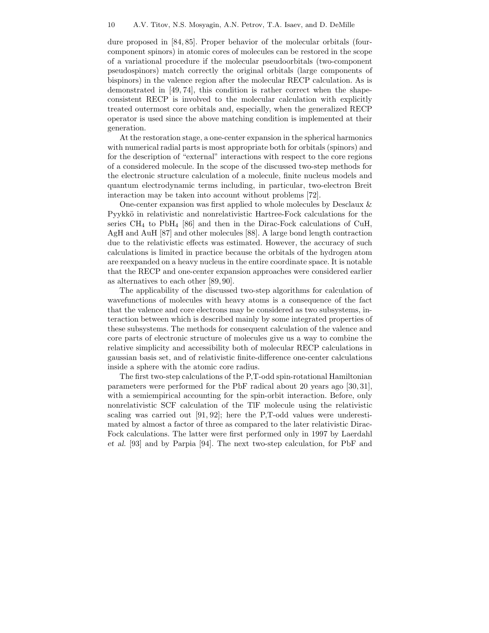dure proposed in [84, 85]. Proper behavior of the molecular orbitals (fourcomponent spinors) in atomic cores of molecules can be restored in the scope of a variational procedure if the molecular pseudoorbitals (two-component pseudospinors) match correctly the original orbitals (large components of bispinors) in the valence region after the molecular RECP calculation. As is demonstrated in [49, 74], this condition is rather correct when the shapeconsistent RECP is involved to the molecular calculation with explicitly treated outermost core orbitals and, especially, when the generalized RECP operator is used since the above matching condition is implemented at their generation.

At the restoration stage, a one-center expansion in the spherical harmonics with numerical radial parts is most appropriate both for orbitals (spinors) and for the description of "external" interactions with respect to the core regions of a considered molecule. In the scope of the discussed two-step methods for the electronic structure calculation of a molecule, finite nucleus models and quantum electrodynamic terms including, in particular, two-electron Breit interaction may be taken into account without problems [72].

One-center expansion was first applied to whole molecules by Desclaux & Pyykkö in relativistic and nonrelativistic Hartree-Fock calculations for the series  $CH_4$  to  $PbH_4$  [86] and then in the Dirac-Fock calculations of CuH, AgH and AuH [87] and other molecules [88]. A large bond length contraction due to the relativistic effects was estimated. However, the accuracy of such calculations is limited in practice because the orbitals of the hydrogen atom are reexpanded on a heavy nucleus in the entire coordinate space. It is notable that the RECP and one-center expansion approaches were considered earlier as alternatives to each other [89, 90].

The applicability of the discussed two-step algorithms for calculation of wavefunctions of molecules with heavy atoms is a consequence of the fact that the valence and core electrons may be considered as two subsystems, interaction between which is described mainly by some integrated properties of these subsystems. The methods for consequent calculation of the valence and core parts of electronic structure of molecules give us a way to combine the relative simplicity and accessibility both of molecular RECP calculations in gaussian basis set, and of relativistic finite-difference one-center calculations inside a sphere with the atomic core radius.

The first two-step calculations of the P,T-odd spin-rotational Hamiltonian parameters were performed for the PbF radical about 20 years ago [30, 31], with a semiempirical accounting for the spin-orbit interaction. Before, only nonrelativistic SCF calculation of the TlF molecule using the relativistic scaling was carried out [91, 92]; here the P,T-odd values were underestimated by almost a factor of three as compared to the later relativistic Dirac-Fock calculations. The latter were first performed only in 1997 by Laerdahl et al. [93] and by Parpia [94]. The next two-step calculation, for PbF and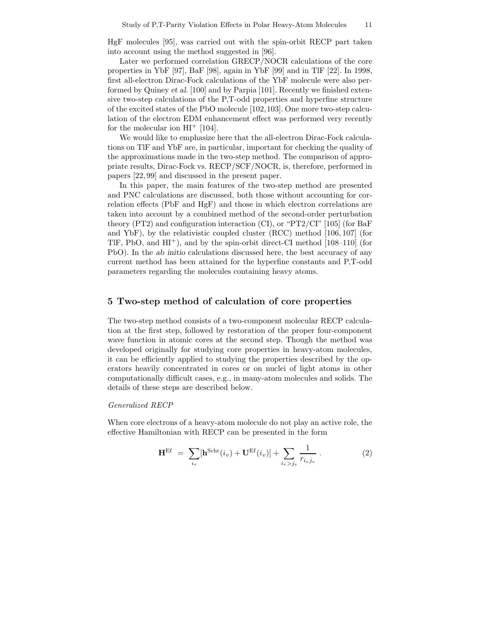HgF molecules [95], was carried out with the spin-orbit RECP part taken into account using the method suggested in [96].

Later we performed correlation GRECP/NOCR calculations of the core properties in YbF [97], BaF [98], again in YbF [99] and in TlF [22]. In 1998, first all-electron Dirac-Fock calculations of the YbF molecule were also performed by Quiney et al. [100] and by Parpia [101]. Recently we finished extensive two-step calculations of the P,T-odd properties and hyperfine structure of the excited states of the PbO molecule [102,103]. One more two-step calculation of the electron EDM enhancement effect was performed very recently for the molecular ion  $HI^+$  [104].

We would like to emphasize here that the all-electron Dirac-Fock calculations on TlF and YbF are, in particular, important for checking the quality of the approximations made in the two-step method. The comparison of appropriate results, Dirac-Fock vs. RECP/SCF/NOCR, is, therefore, performed in papers [22, 99] and discussed in the present paper.

In this paper, the main features of the two-step method are presented and PNC calculations are discussed, both those without accounting for correlation effects (PbF and HgF) and those in which electron correlations are taken into account by a combined method of the second-order perturbation theory (PT2) and configuration interaction (CI), or "PT2/CI" [105] (for BaF and YbF), by the relativistic coupled cluster (RCC) method [106, 107] (for TlF, PbO, and  $\text{HI}^+$ ), and by the spin-orbit direct-CI method [108–110] (for PbO). In the ab initio calculations discussed here, the best accuracy of any current method has been attained for the hyperfine constants and P,T-odd parameters regarding the molecules containing heavy atoms.

### 5 Two-step method of calculation of core properties

The two-step method consists of a two-component molecular RECP calculation at the first step, followed by restoration of the proper four-component wave function in atomic cores at the second step. Though the method was developed originally for studying core properties in heavy-atom molecules, it can be efficiently applied to studying the properties described by the operators heavily concentrated in cores or on nuclei of light atoms in other computationally difficult cases, e.g., in many-atom molecules and solids. The details of these steps are described below.

#### Generalized RECP

When core electrons of a heavy-atom molecule do not play an active role, the effective Hamiltonian with RECP can be presented in the form

$$
\mathbf{H}^{\mathrm{Ef}} = \sum_{i_v} [\mathbf{h}^{\mathrm{Schr}}(i_v) + \mathbf{U}^{\mathrm{Ef}}(i_v)] + \sum_{i_v > j_v} \frac{1}{r_{i_v j_v}}.
$$
 (2)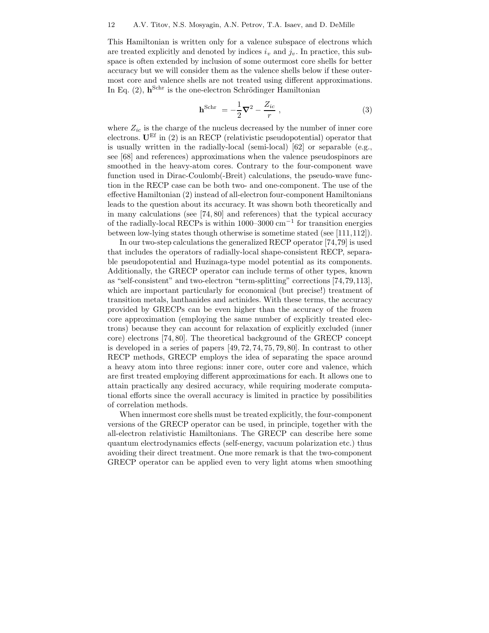This Hamiltonian is written only for a valence subspace of electrons which are treated explicitly and denoted by indices  $i<sub>v</sub>$  and  $j<sub>v</sub>$ . In practice, this subspace is often extended by inclusion of some outermost core shells for better accuracy but we will consider them as the valence shells below if these outermost core and valence shells are not treated using different approximations. In Eq.  $(2)$ ,  $\mathbf{h}^{\text{Schr}}$  is the one-electron Schrödinger Hamiltonian

$$
\mathbf{h}^{\text{Schr}} = -\frac{1}{2}\nabla^2 - \frac{Z_{ic}}{r} , \qquad (3)
$$

where  $Z_{ic}$  is the charge of the nucleus decreased by the number of inner core electrons.  $U<sup>Ef</sup>$  in (2) is an RECP (relativistic pseudopotential) operator that is usually written in the radially-local (semi-local) [62] or separable (e.g., see [68] and references) approximations when the valence pseudospinors are smoothed in the heavy-atom cores. Contrary to the four-component wave function used in Dirac-Coulomb(-Breit) calculations, the pseudo-wave function in the RECP case can be both two- and one-component. The use of the effective Hamiltonian (2) instead of all-electron four-component Hamiltonians leads to the question about its accuracy. It was shown both theoretically and in many calculations (see [74, 80] and references) that the typical accuracy of the radially-local RECPs is within 1000–3000 cm−<sup>1</sup> for transition energies between low-lying states though otherwise is sometime stated (see [111,112]).

In our two-step calculations the generalized RECP operator [74,79] is used that includes the operators of radially-local shape-consistent RECP, separable pseudopotential and Huzinaga-type model potential as its components. Additionally, the GRECP operator can include terms of other types, known as "self-consistent" and two-electron "term-splitting" corrections [74,79,113], which are important particularly for economical (but precise!) treatment of transition metals, lanthanides and actinides. With these terms, the accuracy provided by GRECPs can be even higher than the accuracy of the frozen core approximation (employing the same number of explicitly treated electrons) because they can account for relaxation of explicitly excluded (inner core) electrons [74, 80]. The theoretical background of the GRECP concept is developed in a series of papers [49, 72, 74, 75, 79, 80]. In contrast to other RECP methods, GRECP employs the idea of separating the space around a heavy atom into three regions: inner core, outer core and valence, which are first treated employing different approximations for each. It allows one to attain practically any desired accuracy, while requiring moderate computational efforts since the overall accuracy is limited in practice by possibilities of correlation methods.

When innermost core shells must be treated explicitly, the four-component versions of the GRECP operator can be used, in principle, together with the all-electron relativistic Hamiltonians. The GRECP can describe here some quantum electrodynamics effects (self-energy, vacuum polarization etc.) thus avoiding their direct treatment. One more remark is that the two-component GRECP operator can be applied even to very light atoms when smoothing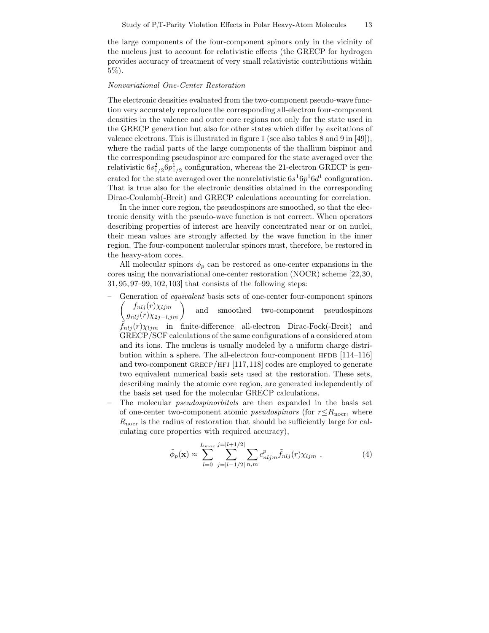the large components of the four-component spinors only in the vicinity of the nucleus just to account for relativistic effects (the GRECP for hydrogen provides accuracy of treatment of very small relativistic contributions within 5%).

### Nonvariational One-Center Restoration

The electronic densities evaluated from the two-component pseudo-wave function very accurately reproduce the corresponding all-electron four-component densities in the valence and outer core regions not only for the state used in the GRECP generation but also for other states which differ by excitations of valence electrons. This is illustrated in figure 1 (see also tables 8 and 9 in [49]), where the radial parts of the large components of the thallium bispinor and the corresponding pseudospinor are compared for the state averaged over the relativistic  $6s_{1/2}^2 6p_{1/2}^1$  configuration, whereas the 21-electron GRECP is generated for the state averaged over the nonrelativistic  $6s^16p^16d^1$  configuration. That is true also for the electronic densities obtained in the corresponding Dirac-Coulomb(-Breit) and GRECP calculations accounting for correlation.

In the inner core region, the pseudospinors are smoothed, so that the electronic density with the pseudo-wave function is not correct. When operators describing properties of interest are heavily concentrated near or on nuclei, their mean values are strongly affected by the wave function in the inner region. The four-component molecular spinors must, therefore, be restored in the heavy-atom cores.

All molecular spinors  $\phi_p$  can be restored as one-center expansions in the cores using the nonvariational one-center restoration (NOCR) scheme [22,30, 31, 95, 97–99, 102, 103] that consists of the following steps:

– Generation of equivalent basis sets of one-center four-component spinors  $\int$   $f_{nlj}(r)\chi_{ljm}$  $\overline{ }$ and smoothed two-component pseudospinors

 $g_{nlj}(r)\chi_{2j-l,jm}$  $f_{nlj}(r)\chi_{lim}$  in finite-difference all-electron Dirac-Fock(-Breit) and GRECP/SCF calculations of the same configurations of a considered atom and its ions. The nucleus is usually modeled by a uniform charge distribution within a sphere. The all-electron four-component HFDB  $[114–116]$ and two-component GRECP/HFJ [117,118] codes are employed to generate two equivalent numerical basis sets used at the restoration. These sets, describing mainly the atomic core region, are generated independently of the basis set used for the molecular GRECP calculations.

The molecular *pseudospinorbitals* are then expanded in the basis set of one-center two-component atomic *pseudospinors* (for  $r \leq R_{\text{noc}}$ , where  $R_{\text{noc}}$  is the radius of restoration that should be sufficiently large for calculating core properties with required accuracy),

$$
\tilde{\phi}_p(\mathbf{x}) \approx \sum_{l=0}^{L_{max}} \sum_{j=|l-1/2|}^{j=|l+1/2|} \sum_{n,m} c_{nljm}^p \tilde{f}_{nlj}(r) \chi_{ljm} , \qquad (4)
$$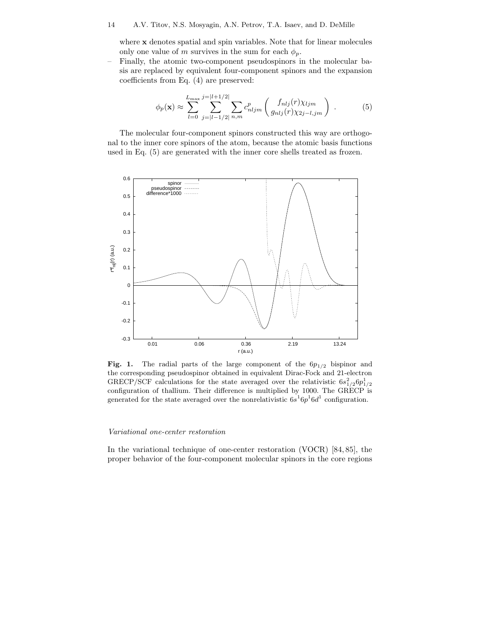#### 14 A.V. Titov, N.S. Mosyagin, A.N. Petrov, T.A. Isaev, and D. DeMille

where **x** denotes spatial and spin variables. Note that for linear molecules only one value of m survives in the sum for each  $\phi_p$ .

– Finally, the atomic two-component pseudospinors in the molecular basis are replaced by equivalent four-component spinors and the expansion coefficients from Eq. (4) are preserved:

$$
\phi_p(\mathbf{x}) \approx \sum_{l=0}^{L_{\text{max}}} \sum_{j=|l-1/2|}^{j=|l+1/2|} \sum_{n,m} c_{nljm}^p \left( \frac{f_{nlj}(r)\chi_{ljm}}{g_{nlj}(r)\chi_{2j-l,jm}} \right) . \tag{5}
$$

The molecular four-component spinors constructed this way are orthogonal to the inner core spinors of the atom, because the atomic basis functions used in Eq. (5) are generated with the inner core shells treated as frozen.



Fig. 1. The radial parts of the large component of the  $6p_{1/2}$  bispinor and the corresponding pseudospinor obtained in equivalent Dirac-Fock and 21-electron GRECP/SCF calculations for the state averaged over the relativistic  $6s_{1/2}^2 6p_{1/2}^1$ configuration of thallium. Their difference is multiplied by 1000. The GRECP is generated for the state averaged over the nonrelativistic  $6s^16p^16d^1$  configuration.

#### Variational one-center restoration

In the variational technique of one-center restoration (VOCR) [84, 85], the proper behavior of the four-component molecular spinors in the core regions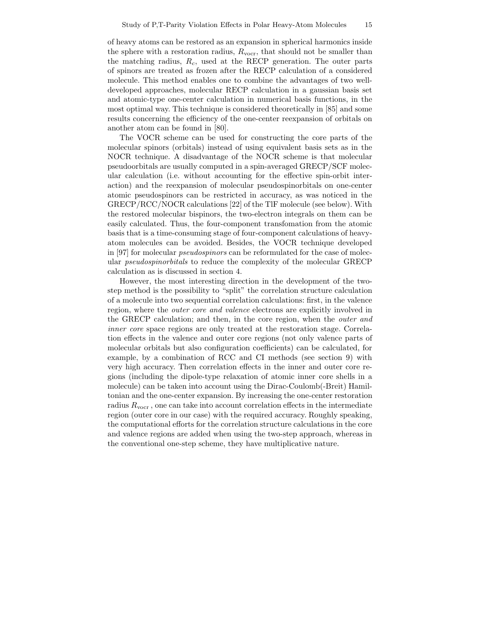of heavy atoms can be restored as an expansion in spherical harmonics inside the sphere with a restoration radius,  $R_{\text{vocr}}$ , that should not be smaller than the matching radius,  $R_c$ , used at the RECP generation. The outer parts of spinors are treated as frozen after the RECP calculation of a considered molecule. This method enables one to combine the advantages of two welldeveloped approaches, molecular RECP calculation in a gaussian basis set and atomic-type one-center calculation in numerical basis functions, in the most optimal way. This technique is considered theoretically in [85] and some results concerning the efficiency of the one-center reexpansion of orbitals on another atom can be found in [80].

The VOCR scheme can be used for constructing the core parts of the molecular spinors (orbitals) instead of using equivalent basis sets as in the NOCR technique. A disadvantage of the NOCR scheme is that molecular pseudoorbitals are usually computed in a spin-averaged GRECP/SCF molecular calculation (i.e. without accounting for the effective spin-orbit interaction) and the reexpansion of molecular pseudospinorbitals on one-center atomic pseudospinors can be restricted in accuracy, as was noticed in the GRECP/RCC/NOCR calculations [22] of the TlF molecule (see below). With the restored molecular bispinors, the two-electron integrals on them can be easily calculated. Thus, the four-component transfomation from the atomic basis that is a time-consuming stage of four-component calculations of heavyatom molecules can be avoided. Besides, the VOCR technique developed in [97] for molecular *pseudospinors* can be reformulated for the case of molecular pseudospinorbitals to reduce the complexity of the molecular GRECP calculation as is discussed in section 4.

However, the most interesting direction in the development of the twostep method is the possibility to "split" the correlation structure calculation of a molecule into two sequential correlation calculations: first, in the valence region, where the outer core and valence electrons are explicitly involved in the GRECP calculation; and then, in the core region, when the outer and inner core space regions are only treated at the restoration stage. Correlation effects in the valence and outer core regions (not only valence parts of molecular orbitals but also configuration coefficients) can be calculated, for example, by a combination of RCC and CI methods (see section 9) with very high accuracy. Then correlation effects in the inner and outer core regions (including the dipole-type relaxation of atomic inner core shells in a molecule) can be taken into account using the Dirac-Coulomb(-Breit) Hamiltonian and the one-center expansion. By increasing the one-center restoration radius  $R_{\text{vocr}}$ , one can take into account correlation effects in the intermediate region (outer core in our case) with the required accuracy. Roughly speaking, the computational efforts for the correlation structure calculations in the core and valence regions are added when using the two-step approach, whereas in the conventional one-step scheme, they have multiplicative nature.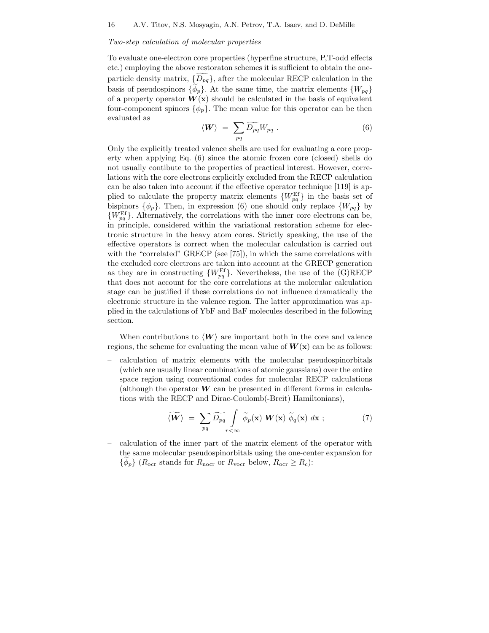#### Two-step calculation of molecular properties

To evaluate one-electron core properties (hyperfine structure, P,T-odd effects etc.) employing the above restoraton schemes it is sufficient to obtain the oneparticle density matrix,  $\{\widetilde{D}_{pq}\}\$ , after the molecular RECP calculation in the basis of pseudospinors  $\{\phi_p\}$ . At the same time, the matrix elements  $\{W_{pq}\}$ of a property operator  $W(x)$  should be calculated in the basis of equivalent four-component spinors  $\{\phi_p\}$ . The mean value for this operator can be then evaluated as

$$
\langle W \rangle = \sum_{pq} \widetilde{D_{pq}} W_{pq} . \tag{6}
$$

Only the explicitly treated valence shells are used for evaluating a core property when applying Eq. (6) since the atomic frozen core (closed) shells do not usually contibute to the properties of practical interest. However, correlations with the core electrons explicitly excluded from the RECP calculation can be also taken into account if the effective operator technique [119] is applied to calculate the property matrix elements  $\{W_{pq}^{\text{Ef}}\}$  in the basis set of bispinors  $\{\phi_p\}$ . Then, in expression (6) one should only replace  $\{W_{pq}\}$  by  $\{W_{pq}^{\text{Ef}}\}$ . Alternatively, the correlations with the inner core electrons can be, in principle, considered within the variational restoration scheme for electronic structure in the heavy atom cores. Strictly speaking, the use of the effective operators is correct when the molecular calculation is carried out with the "correlated" GRECP (see [75]), in which the same correlations with the excluded core electrons are taken into account at the GRECP generation as they are in constructing  $\{W_{pq}^{\text{Ef}}\}$ . Nevertheless, the use of the (G)RECP that does not account for the core correlations at the molecular calculation stage can be justified if these correlations do not influence dramatically the electronic structure in the valence region. The latter approximation was applied in the calculations of YbF and BaF molecules described in the following section.

When contributions to  $\langle W \rangle$  are important both in the core and valence regions, the scheme for evaluating the mean value of  $W(x)$  can be as follows:

– calculation of matrix elements with the molecular pseudospinorbitals (which are usually linear combinations of atomic gaussians) over the entire space region using conventional codes for molecular RECP calculations (although the operator  $W$  can be presented in different forms in calculations with the RECP and Dirac-Coulomb(-Breit) Hamiltonians),

$$
\widetilde{\langle \boldsymbol{W} \rangle} = \sum_{pq} \widetilde{D_{pq}} \int_{r < \infty} \widetilde{\phi}_p(\mathbf{x}) \, \boldsymbol{W}(\mathbf{x}) \, \widetilde{\phi}_q(\mathbf{x}) \, d\mathbf{x} ; \tag{7}
$$

– calculation of the inner part of the matrix element of the operator with the same molecular pseudospinorbitals using the one-center expansion for  $\{\phi_p\}$  ( $R_{\text{ocr}}$  stands for  $R_{\text{ncor}}$  or  $R_{\text{vocr}}$  below,  $R_{\text{ocr}} \geq R_c$ ):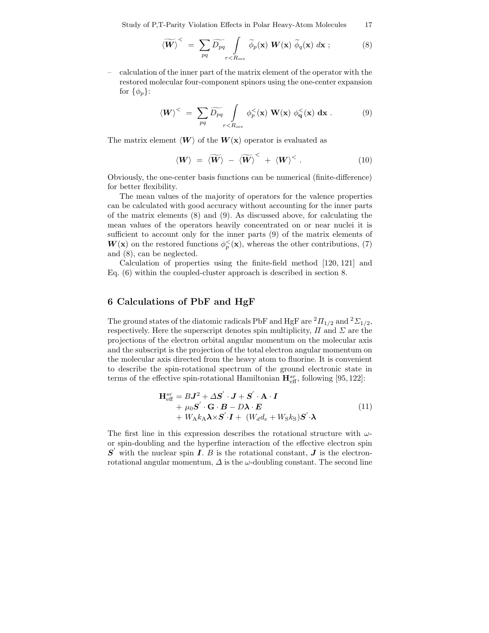Study of P,T-Parity Violation Effects in Polar Heavy-Atom Molecules 17

$$
\widetilde{\langle \boldsymbol{W} \rangle}^{\leq} = \sum_{pq} \widetilde{D_{pq}} \int_{r < R_{\text{ocr}}} \widetilde{\phi}_p(\mathbf{x}) \, \boldsymbol{W}(\mathbf{x}) \, \widetilde{\phi}_q(\mathbf{x}) \, d\mathbf{x} ; \tag{8}
$$

– calculation of the inner part of the matrix element of the operator with the restored molecular four-component spinors using the one-center expansion for  $\{\phi_p\}$ :

$$
\langle \mathbf{W} \rangle^{\leq} = \sum_{pq} \widetilde{D_{pq}} \int_{r < R_{\text{ocr}}} \phi_p^{\leq}(\mathbf{x}) \mathbf{W}(\mathbf{x}) \phi_q^{\leq}(\mathbf{x}) \mathbf{dx}. \tag{9}
$$

The matrix element  $\langle W \rangle$  of the  $W(x)$  operator is evaluated as

$$
\langle W \rangle = \langle \widetilde{W} \rangle - \langle \widetilde{W} \rangle^{\leq} + \langle W \rangle^{\leq} . \tag{10}
$$

Obviously, the one-center basis functions can be numerical (finite-difference) for better flexibility.

The mean values of the majority of operators for the valence properties can be calculated with good accuracy without accounting for the inner parts of the matrix elements (8) and (9). As discussed above, for calculating the mean values of the operators heavily concentrated on or near nuclei it is sufficient to account only for the inner parts (9) of the matrix elements of  $W({\bf x})$  on the restored functions  $\phi_p^{\lt}({\bf x})$ , whereas the other contributions, (7) and (8), can be neglected.

Calculation of properties using the finite-field method [120, 121] and Eq. (6) within the coupled-cluster approach is described in section 8.

### 6 Calculations of PbF and HgF

The ground states of the diatomic radicals PbF and HgF are  ${}^{2}H_{1/2}$  and  ${}^{2}\Sigma_{1/2}$ , respectively. Here the superscript denotes spin multiplicity,  $\Pi$  and  $\Sigma$  are the projections of the electron orbital angular momentum on the molecular axis and the subscript is the projection of the total electron angular momentum on the molecular axis directed from the heavy atom to fluorine. It is convenient to describe the spin-rotational spectrum of the ground electronic state in terms of the effective spin-rotational Hamiltonian  $\mathbf{H}_{\text{eff}}^{sr}$ , following [95,122]:

$$
\mathbf{H}_{\text{eff}}^{sr} = B\mathbf{J}^2 + \Delta \mathbf{S}' \cdot \mathbf{J} + \mathbf{S}' \cdot \mathbf{A} \cdot \mathbf{I} + \mu_0 \mathbf{S}' \cdot \mathbf{G} \cdot \mathbf{B} - D\boldsymbol{\lambda} \cdot \mathbf{E} + W_A k_A \boldsymbol{\lambda} \times \mathbf{S}' \cdot \mathbf{I} + (W_d d_e + W_S k_S) \mathbf{S}' \cdot \boldsymbol{\lambda}
$$
(11)

The first line in this expression describes the rotational structure with  $\omega$ or spin-doubling and the hyperfine interaction of the effective electron spin  $S'$  with the nuclear spin  $I$ . B is the rotational constant,  $J$  is the electronrotational angular momentum,  $\Delta$  is the  $\omega$ -doubling constant. The second line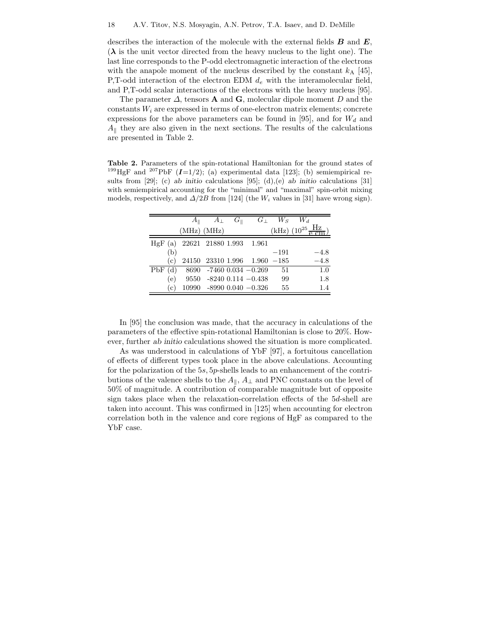describes the interaction of the molecule with the external fields  $\bm{B}$  and  $\bm{E}$ .  $(\lambda)$  is the unit vector directed from the heavy nucleus to the light one). The last line corresponds to the P-odd electromagnetic interaction of the electrons with the anapole moment of the nucleus described by the constant  $k_A$  [45], P,T-odd interaction of the electron EDM  $d_e$  with the interamolecular field, and P,T-odd scalar interactions of the electrons with the heavy nucleus [95].

The parameter  $\Delta$ , tensors **A** and **G**, molecular dipole moment D and the constants  $W_i$  are expressed in terms of one-electron matrix elements; concrete expressions for the above parameters can be found in [95], and for  $W_d$  and  $A_{\parallel}$  they are also given in the next sections. The results of the calculations are presented in Table 2.

Table 2. Parameters of the spin-rotational Hamiltonian for the ground states of <sup>199</sup>HgF and <sup>207</sup>PbF ( $I=1/2$ ); (a) experimental data [123]; (b) semiempirical results from  $[29]$ ; (c) ab initio calculations  $[95]$ ; (d), (e) ab initio calculations  $[31]$ with semiempirical accounting for the "minimal" and "maximal" spin-orbit mixing models, respectively, and  $\Delta/2B$  from [124] (the W<sub>i</sub> values in [31] have wrong sign).

|                                 | $A_{\mathbb{F}}$ | $A_{\perp}$ | $G_{\rm II}$ |                                        | $G_1$ $W_S$ $W_d$ |                                      |
|---------------------------------|------------------|-------------|--------------|----------------------------------------|-------------------|--------------------------------------|
|                                 | $(MHz)$ $(MHz)$  |             |              |                                        |                   | $(kHz)$ $(10^{25} \frac{Hz}{6.000})$ |
| HgF (a) 22621 21880 1.993 1.961 |                  |             |              |                                        |                   |                                      |
| (b)                             |                  |             |              |                                        | $-191$            | $-4.8$                               |
| (c)                             |                  |             |              | $24150$ $23310$ $1.996$ $1.960$ $-185$ |                   | $-4.8$                               |
| PbF(d)                          |                  |             |              | $8690 - 74600.034 - 0.269$             | 51                | 1.0                                  |
| (e)                             |                  |             |              | $9550 - 8240 0.114 - 0.438$            | 99                | 1.8                                  |
| (c)                             |                  |             |              | $10990 - 8990 0.040 - 0.326$           | 55                | 1.4                                  |

In [95] the conclusion was made, that the accuracy in calculations of the parameters of the effective spin-rotational Hamiltonian is close to 20%. However, further ab initio calculations showed the situation is more complicated.

As was understood in calculations of YbF [97], a fortuitous cancellation of effects of different types took place in the above calculations. Accounting for the polarization of the 5s, 5p-shells leads to an enhancement of the contributions of the valence shells to the  $A_{\parallel}$ ,  $A_{\perp}$  and PNC constants on the level of 50% of magnitude. A contribution of comparable magnitude but of opposite sign takes place when the relaxation-correlation effects of the 5d-shell are taken into account. This was confirmed in [125] when accounting for electron correlation both in the valence and core regions of HgF as compared to the YbF case.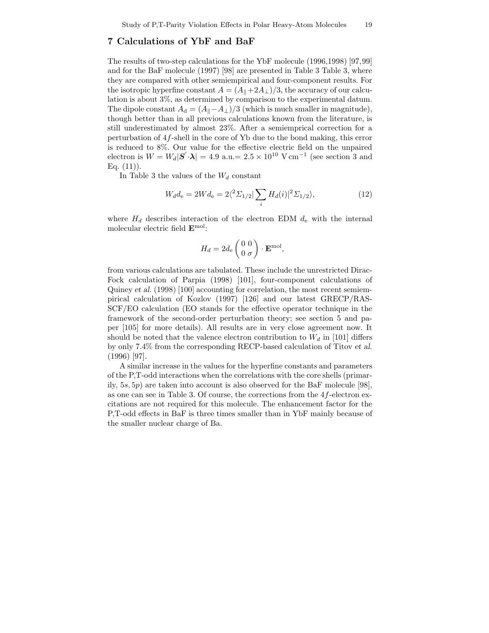### 7 Calculations of YbF and BaF

The results of two-step calculations for the YbF molecule (1996,1998) [97,99] and for the BaF molecule (1997) [98] are presented in Table 3 Table 3, where they are compared with other semiempirical and four-component results. For the isotropic hyperfine constant  $A = (A_{\parallel} + 2A_{\perp})/3$ , the accuracy of our calculation is about 3%, as determined by comparison to the experimental datum. The dipole constant  $A_d = (A_{\parallel} - A_{\perp})/3$  (which is much smaller in magnitude), though better than in all previous calculations known from the literature, is still underestimated by almost 23%. After a semiemprical correction for a perturbation of  $4f$ -shell in the core of Yb due to the bond making, this error is reduced to 8%. Our value for the effective electric field on the unpaired electron is  $W = W_d | \mathbf{S}' \cdot \mathbf{\lambda} | = 4.9 \text{ a.u.} = 2.5 \times 10^{10} \text{ V cm}^{-1}$  (see section 3 and Eq.  $(11)$ ).

In Table 3 the values of the  $W_d$  constant

$$
W_d d_e = 2W d_e = 2\langle ^2 \Sigma_{1/2} | \sum_i H_d(i) | ^2 \Sigma_{1/2} \rangle, \tag{12}
$$

where  $H_d$  describes interaction of the electron EDM  $d_e$  with the internal molecular electric field  $\mathbf{E}^{\text{mol}}$ :

$$
H_d = 2d_e \begin{pmatrix} 0 & 0 \\ 0 & \sigma \end{pmatrix} \cdot \mathbf{E}^{\text{mol}},
$$

from various calculations are tabulated. These include the unrestricted Dirac-Fock calculation of Parpia (1998) [101], four-component calculations of Quiney et al. (1998) [100] accounting for correlation, the most recent semiempirical calculation of Kozlov (1997) [126] and our latest GRECP/RAS-SCF/EO calculation (EO stands for the effective operator technique in the framework of the second-order perturbation theory; see section 5 and paper [105] for more details). All results are in very close agreement now. It should be noted that the valence electron contribution to  $W_d$  in [101] differs by only 7.4% from the corresponding RECP-based calculation of Titov et al. (1996) [97].

A similar increase in the values for the hyperfine constants and parameters of the P,T-odd interactions when the correlations with the core shells (primarily,  $5s, 5p$  are taken into account is also observed for the BaF molecule [98], as one can see in Table 3. Of course, the corrections from the 4f-electron excitations are not required for this molecule. The enhancement factor for the P,T-odd effects in BaF is three times smaller than in YbF mainly because of the smaller nuclear charge of Ba.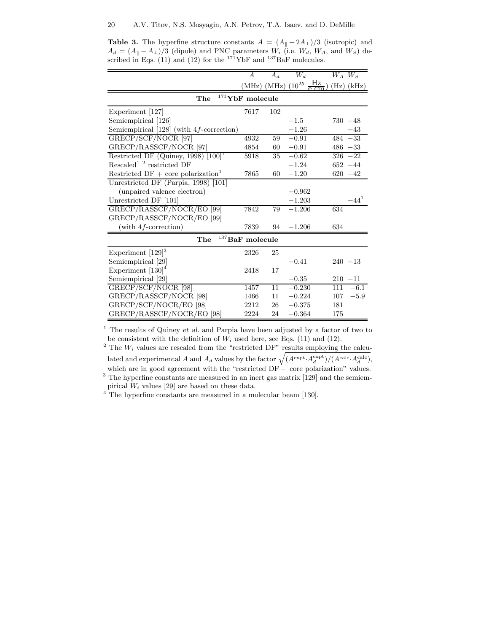**Table 3.** The hyperfine structure constants  $A = (A_{\parallel} + 2A_{\perp})/3$  (isotropic) and  $A_d = (A_{\parallel} - A_{\perp})/3$  (dipole) and PNC parameters  $W_i$  (i.e.  $W_d$ ,  $W_A$ , and  $W_S$ ) described in Eqs. (11) and (12) for the  $^{171}YbF$  and  $^{137}BaF$  molecules.

|                                                   | $\overline{A}$ | $A_d$           | $\overline{W}_d$  | $W_A$ $W_S$ |                |  |  |
|---------------------------------------------------|----------------|-----------------|-------------------|-------------|----------------|--|--|
|                                                   |                | $(MHz)$ $(MHz)$ | Hz<br>$(10^{25})$ |             | $(Hz)$ $(kHz)$ |  |  |
| $171$ YbF molecule<br>The                         |                |                 |                   |             |                |  |  |
| Experiment [127]                                  | 7617           | 102             |                   |             |                |  |  |
| Semiempirical [126]                               |                |                 | $-1.5$            | $730 - 48$  |                |  |  |
| Semiempirical $[128]$ (with 4f-correction)        |                |                 | $-1.26$           |             | $-43$          |  |  |
| GRECP/SCF/NOCR [97]                               | 4932           | 59              | $-0.91$           | $484 - 33$  |                |  |  |
| GRECP/RASSCF/NOCR [97]                            | 4854           | 60              | $-0.91$           | $486 - 33$  |                |  |  |
| Restricted DF (Quiney, 1998) $[100]$ <sup>1</sup> | 5918           | 35              | $-0.62$           | 326         | $-22$          |  |  |
| Rescaled <sup>1,2</sup> restricted DF             |                |                 | $-1.24$           | $652 -44$   |                |  |  |
| Restricted $DF + core polarization1$              | 7865           | 60              | $-1.20$           | $620 -42$   |                |  |  |
| Unrestricted DF (Parpia, 1998) [101]              |                |                 |                   |             |                |  |  |
| (unpaired valence electron)                       |                |                 | $-0.962$          |             |                |  |  |
| Unrestricted DF [101]                             |                |                 | $-1.203$          |             | $-44^{1}$      |  |  |
| GRECP/RASSCF/NOCR/EO [99]                         | 7842           | 79              | $-1.206$          | 634         |                |  |  |
| GRECP/RASSCF/NOCR/EO [99]                         |                |                 |                   |             |                |  |  |
| (with $4f$ -correction)                           | 7839           | 94              | $-1.206$          | 634         |                |  |  |
| $^{137}\mbox{BaF}$ molecule<br>The                |                |                 |                   |             |                |  |  |
| Experiment $[129]$ <sup>3</sup>                   | 2326           | 25              |                   |             |                |  |  |
| Semiempirical [29]                                |                |                 | $-0.41$           | $240 - 13$  |                |  |  |
| Experiment $[130]^4$                              | 2418           | 17              |                   |             |                |  |  |
| Semiempirical [29]                                |                |                 | $-0.35$           | $210 - 11$  |                |  |  |
| GRECP/SCF/NOCR [98]                               | 1457           | 11              | $-0.230$          | 111         | $-6.1$         |  |  |
| GRECP/RASSCF/NOCR [98]                            | 1466           | 11              | $-0.224$          | 107         | $-5.9$         |  |  |
| GRECP/SCF/NOCR/EO [98]                            | 2212           | 26              | $-0.375$          | 181         |                |  |  |
| GRECP/RASSCF/NOCR/EO [98]                         | 2224           | 24              | $-0.364$          | 175         |                |  |  |

<sup>1</sup> The results of Quiney et al. and Parpia have been adjusted by a factor of two to be consistent with the definition of  $\hat{W}_i$  used here, see Eqs. (11) and (12).

<sup>2</sup> The  $W_i$  values are rescaled from the "restricted DF" results employing the calculated and experimental A and  $A_d$  values by the factor  $\sqrt{(A^{\text{expt}} \cdot A_d^{\text{expt}})/(A^{\text{calc}} \cdot A_d^{\text{calc}})}$ , which are in good agreement with the "restricted  $DF +$  core polarization" values.

 $3$  The hyperfine constants are measured in an inert gas matrix [129] and the semiempirical  $W_i$  values [29] are based on these data.

<sup>4</sup> The hyperfine constants are measured in a molecular beam [130].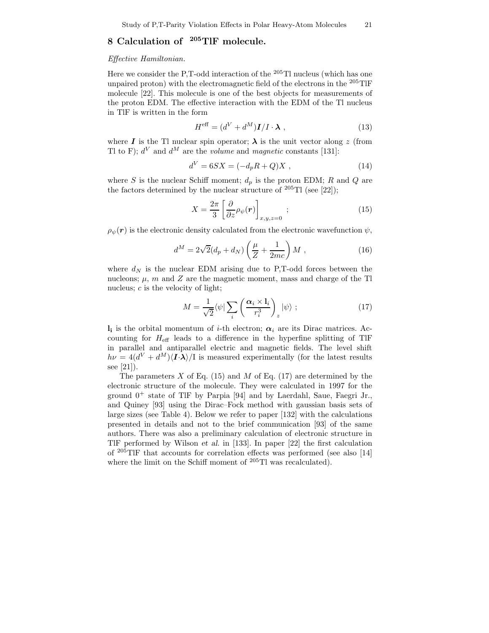# 8 Calculation of <sup>205</sup>TlF molecule.

#### Effective Hamiltonian.

Here we consider the P,T-odd interaction of the  $205$ Tl nucleus (which has one unpaired proton) with the electromagnetic field of the electrons in the  $^{205}$ TlF molecule [22]. This molecule is one of the best objects for measurements of the proton EDM. The effective interaction with the EDM of the Tl nucleus in TlF is written in the form

$$
H^{\text{eff}} = (d^V + d^M) \mathbf{I} / I \cdot \boldsymbol{\lambda} \tag{13}
$$

where I is the Tl nuclear spin operator;  $\lambda$  is the unit vector along z (from Tl to F);  $d^V$  and  $d^M$  are the *volume* and *magnetic* constants [131]:

$$
d^{V} = 6SX = (-d_{p}R + Q)X , \qquad (14)
$$

where S is the nuclear Schiff moment;  $d_p$  is the proton EDM; R and Q are the factors determined by the nuclear structure of  $205$ Tl (see [22]);

$$
X = \frac{2\pi}{3} \left[ \frac{\partial}{\partial z} \rho_{\psi}(\mathbf{r}) \right]_{x,y,z=0} ; \qquad (15)
$$

 $\rho_\psi(\mathbf{r})$  is the electronic density calculated from the electronic wavefunction  $\psi$ ,

$$
d^{M} = 2\sqrt{2}(d_{p} + d_{N})\left(\frac{\mu}{Z} + \frac{1}{2mc}\right)M , \qquad (16)
$$

where  $d_N$  is the nuclear EDM arising due to P,T-odd forces between the nucleons;  $\mu$ ,  $m$  and  $Z$  are the magnetic moment, mass and charge of the Tl nucleus;  $c$  is the velocity of light;

$$
M = \frac{1}{\sqrt{2}} \langle \psi | \sum_{i} \left( \frac{\alpha_i \times I_i}{r_i^3} \right)_z | \psi \rangle ; \qquad (17)
$$

 $\mathbf{l}_i$  is the orbital momentum of *i*-th electron;  $\alpha_i$  are its Dirac matrices. Accounting for  $H_{\text{eff}}$  leads to a difference in the hyperfine splitting of TlF in parallel and antiparallel electric and magnetic fields. The level shift  $h\nu = 4(d^V + d^M)\langle I\cdot \lambda \rangle / I$  is measured experimentally (for the latest results see [21]).

The parameters X of Eq.  $(15)$  and M of Eq.  $(17)$  are determined by the electronic structure of the molecule. They were calculated in 1997 for the ground 0 <sup>+</sup> state of TlF by Parpia [94] and by Laerdahl, Saue, Faegri Jr., and Quiney [93] using the Dirac–Fock method with gaussian basis sets of large sizes (see Table 4). Below we refer to paper [132] with the calculations presented in details and not to the brief communication [93] of the same authors. There was also a preliminary calculation of electronic structure in TlF performed by Wilson et al. in [133]. In paper [22] the first calculation of <sup>205</sup>TlF that accounts for correlation effects was performed (see also [14] where the limit on the Schiff moment of <sup>205</sup>Tl was recalculated).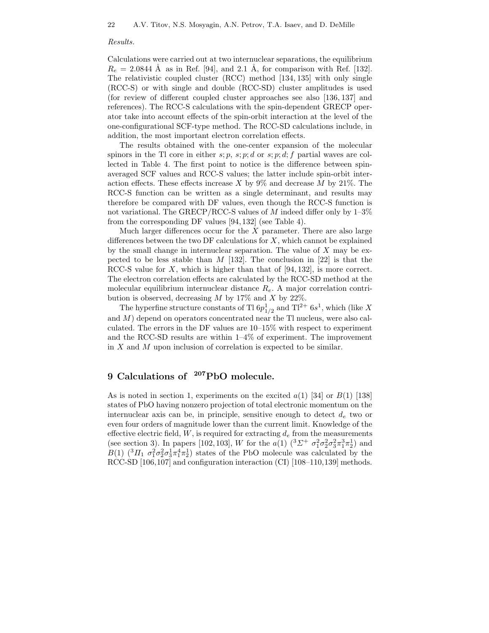#### Results.

Calculations were carried out at two internuclear separations, the equilibrium  $R_e = 2.0844$  Å as in Ref. [94], and 2.1 Å, for comparison with Ref. [132]. The relativistic coupled cluster (RCC) method [134, 135] with only single (RCC-S) or with single and double (RCC-SD) cluster amplitudes is used (for review of different coupled cluster approaches see also [136, 137] and references). The RCC-S calculations with the spin-dependent GRECP operator take into account effects of the spin-orbit interaction at the level of the one-configurational SCF-type method. The RCC-SD calculations include, in addition, the most important electron correlation effects.

The results obtained with the one-center expansion of the molecular spinors in the Tl core in either  $s; p, s; p; d$  or  $s; p; d; f$  partial waves are collected in Table 4. The first point to notice is the difference between spinaveraged SCF values and RCC-S values; the latter include spin-orbit interaction effects. These effects increase X by  $9\%$  and decrease M by  $21\%$ . The RCC-S function can be written as a single determinant, and results may therefore be compared with DF values, even though the RCC-S function is not variational. The GRECP/RCC-S values of  $M$  indeed differ only by  $1-3\%$ from the corresponding DF values [94, 132] (see Table 4).

Much larger differences occur for the  $X$  parameter. There are also large differences between the two DF calculations for  $X$ , which cannot be explained by the small change in internuclear separation. The value of  $X$  may be expected to be less stable than  $M$  [132]. The conclusion in [22] is that the RCC-S value for  $X$ , which is higher than that of [94, 132], is more correct. The electron correlation effects are calculated by the RCC-SD method at the molecular equilibrium internuclear distance  $R_e$ . A major correlation contribution is observed, decreasing  $M$  by 17% and  $X$  by 22%.

The hyperfine structure constants of Tl  $6p_{1/2}^1$  and Tl<sup>2+</sup>  $6s^1$ , which (like X and M) depend on operators concentrated near the Tl nucleus, were also calculated. The errors in the DF values are 10–15% with respect to experiment and the RCC-SD results are within 1–4% of experiment. The improvement in  $X$  and  $M$  upon inclusion of correlation is expected to be similar.

# 9 Calculations of <sup>207</sup>PbO molecule.

As is noted in section 1, experiments on the excited  $a(1)$  [34] or  $B(1)$  [138] states of PbO having nonzero projection of total electronic momentum on the internuclear axis can be, in principle, sensitive enough to detect  $d_e$  two or even four orders of magnitude lower than the current limit. Knowledge of the effective electric field,  $W$ , is required for extracting  $d_e$  from the measurements (see section 3). In papers [102, 103], W for the  $a(1)$  ( ${}^{3}\Sigma^{+}$   $\sigma_{1}^{2}\sigma_{2}^{2}\sigma_{3}^{2}\pi_{1}^{3}\pi_{2}^{1}$ ) and  $B(1)$  ( ${}^3H_1$   $\sigma_1^2 \sigma_2^2 \sigma_3^1 \pi_1^4 \pi_2^1$ ) states of the PbO molecule was calculated by the RCC-SD [106,107] and configuration interaction (CI) [108–110,139] methods.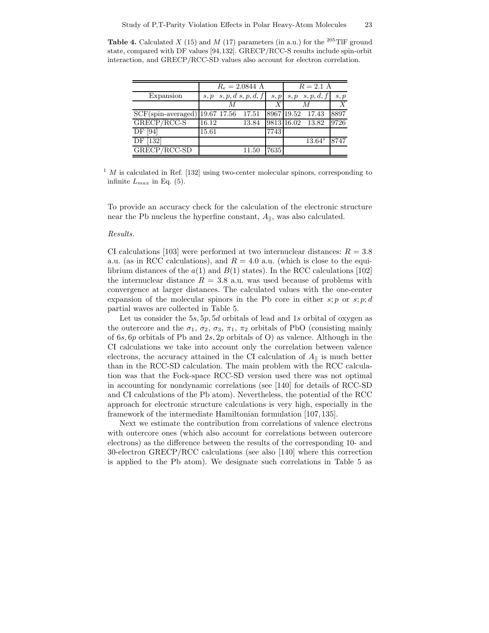**Table 4.** Calculated X (15) and M (17) parameters (in a.u.) for the <sup>205</sup>TlF ground state, compared with DF values [94,132]. GRECP/RCC-S results include spin-orbit interaction, and GRECP/RCC-SD values also account for electron correlation.

|                                   | $R_e = 2.0844$ A |   |                                    | $R = 2.1$ A |            |                         |      |
|-----------------------------------|------------------|---|------------------------------------|-------------|------------|-------------------------|------|
| Expansion                         |                  |   | $s, p \quad s, p, d \; s, p, d, f$ | s, p        |            | $s, p \quad s, p, d, f$ | s, p |
|                                   |                  | М |                                    |             |            |                         |      |
| $SCF$ (spin-averaged) 19.67 17.56 |                  |   | 17.51                              |             |            | 8967 19.52 17.43        | 8897 |
| GRECP/RCC-S                       | 16.12            |   | 13.84                              |             | 9813 16.02 | 13.82                   | 9726 |
| 94 <br>DF                         | 15.61            |   |                                    | 7743        |            |                         |      |
| $\left[132\right]$<br>DF          |                  |   |                                    |             |            | 13.64                   | 8747 |
| GRECP/RCC-SD                      |                  |   | 11.50                              | 7635        |            |                         |      |

 $1 M$  is calculated in Ref. [132] using two-center molecular spinors, corresponding to infinite  $L_{max}$  in Eq. (5).

To provide an accuracy check for the calculation of the electronic structure near the Pb nucleus the hyperfine constant,  $A_{\parallel}$ , was also calculated.

#### Results.

CI calculations [103] were performed at two internuclear distances:  $R = 3.8$ a.u. (as in RCC calculations), and  $R = 4.0$  a.u. (which is close to the equilibrium distances of the  $a(1)$  and  $B(1)$  states). In the RCC calculations [102] the internuclear distance  $R = 3.8$  a.u. was used because of problems with convergence at larger distances. The calculated values with the one-center expansion of the molecular spinors in the Pb core in either  $s; p$  or  $s; p; d$ partial waves are collected in Table 5.

Let us consider the 5s, 5p, 5d orbitals of lead and 1s orbital of oxygen as the outercore and the  $\sigma_1$ ,  $\sigma_2$ ,  $\sigma_3$ ,  $\pi_1$ ,  $\pi_2$  orbitals of PbO (consisting mainly of 6s, 6p orbitals of Pb and  $2s$ , 2p orbitals of O) as valence. Although in the CI calculations we take into account only the correlation between valence electrons, the accuracy attained in the CI calculation of  $A_{\parallel}$  is much better than in the RCC-SD calculation. The main problem with the RCC calculation was that the Fock-space RCC-SD version used there was not optimal in accounting for nondynamic correlations (see [140] for details of RCC-SD and CI calculations of the Pb atom). Nevertheless, the potential of the RCC approach for electronic structure calculations is very high, especially in the framework of the intermediate Hamiltonian formulation [107, 135].

Next we estimate the contribution from correlations of valence electrons with outercore ones (which also account for correlations between outercore electrons) as the difference between the results of the corresponding 10- and 30-electron GRECP/RCC calculations (see also [140] where this correction is applied to the Pb atom). We designate such correlations in Table 5 as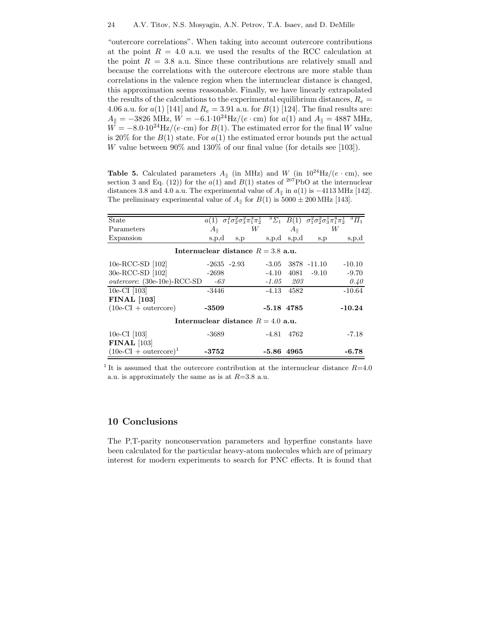"outercore correlations". When taking into account outercore contributions at the point  $R = 4.0$  a.u. we used the results of the RCC calculation at the point  $R = 3.8$  a.u. Since these contributions are relatively small and because the correlations with the outercore electrons are more stable than correlations in the valence region when the internuclear distance is changed, this approximation seems reasonable. Finally, we have linearly extrapolated the results of the calculations to the experimental equilibrium distances,  $R_e =$ 4.06 a.u. for  $a(1)$  [141] and  $R_e = 3.91$  a.u. for  $B(1)$  [124]. The final results are:  $A_{\parallel} = -3826 \text{ MHz}, W = -6.1 \cdot 10^{24} \text{Hz}/(e \cdot \text{cm}) \text{ for } a(1) \text{ and } A_{\parallel} = 4887 \text{ MHz},$  $W = -8.0 \cdot 10^{24}$ Hz/(e·cm) for  $B(1)$ . The estimated error for the final W value is 20% for the  $B(1)$  state. For  $a(1)$  the estimated error bounds put the actual W value between  $90\%$  and  $130\%$  of our final value (for details see [103]).

**Table 5.** Calculated parameters  $A_{\parallel}$  (in MHz) and W (in  $10^{24}$ Hz/(e·cm), see section 3 and Eq. (12)) for the  $a(1)$  and  $B(1)$  states of <sup>207</sup>PbO at the internuclear distances 3.8 and 4.0 a.u. The experimental value of  $A_{\parallel}$  in a(1) is −4113 MHz [142]. The preliminary experimental value of  $A_{\parallel}$  for  $B(1)$  is 5000  $\pm$  200 MHz [143].

| <b>State</b>                           |                 | $a(1)$ $\sigma_1^2 \sigma_2^2 \sigma_3^2 \pi_1^3 \pi_2^1$ $^3\Sigma_1$ $B(1)$ $\sigma_1^2 \sigma_2^2 \sigma_3^1 \pi_1^4 \pi_2^1$ |         |                     |                        | $^3\Pi_1$ |  |  |  |
|----------------------------------------|-----------------|----------------------------------------------------------------------------------------------------------------------------------|---------|---------------------|------------------------|-----------|--|--|--|
| Parameters                             | $A_{\parallel}$ | W                                                                                                                                |         | $A_{\parallel}$     |                        | W         |  |  |  |
| Expansion                              | $_{\rm s,p,d}$  | $_{\rm s,p}$                                                                                                                     |         | $s, p, d$ $s, p, d$ | s, p                   | s,p,d     |  |  |  |
| Internuclear distance $R = 3.8$ a.u.   |                 |                                                                                                                                  |         |                     |                        |           |  |  |  |
| $10e$ -RCC-SD $[102]$                  | $-2635 - 2.93$  |                                                                                                                                  | $-3.05$ |                     | 3878 -11.10            | $-10.10$  |  |  |  |
| 30e-RCC-SD [102]                       | $-2698$         |                                                                                                                                  |         |                     | $-4.10$ $4081$ $-9.10$ | $-9.70$   |  |  |  |
| $outercore: (30e-10e)-RCC-SD$          | -63             |                                                                                                                                  |         | $-1.05$ 203         |                        | 0.40      |  |  |  |
| 10e-CI $[103]$                         | -3446           |                                                                                                                                  | $-4.13$ | 4582                |                        | $-10.64$  |  |  |  |
| <b>FINAL</b> [103]                     |                 |                                                                                                                                  |         |                     |                        |           |  |  |  |
| $(10e\text{-}CI + \text{outercore})$   | -3509           |                                                                                                                                  |         | $-5.18$ 4785        |                        | $-10.24$  |  |  |  |
| Internuclear distance $R = 4.0$ a.u.   |                 |                                                                                                                                  |         |                     |                        |           |  |  |  |
| 10e-CI $[103]$                         | -3689           |                                                                                                                                  | -4.81   | 4762                |                        | $-7.18$   |  |  |  |
| FINAL $[103]$                          |                 |                                                                                                                                  |         |                     |                        |           |  |  |  |
| $(10e\text{-}CI + \text{outercore})^T$ | -3752           |                                                                                                                                  |         | $-5.86$ 4965        |                        | -6.78     |  |  |  |

<sup>1</sup>It is assumed that the outercore contribution at the internuclear distance  $R=4.0$ a.u. is approximately the same as is at  $R=3.8$  a.u.

### 10 Conclusions

The P,T-parity nonconservation parameters and hyperfine constants have been calculated for the particular heavy-atom molecules which are of primary interest for modern experiments to search for PNC effects. It is found that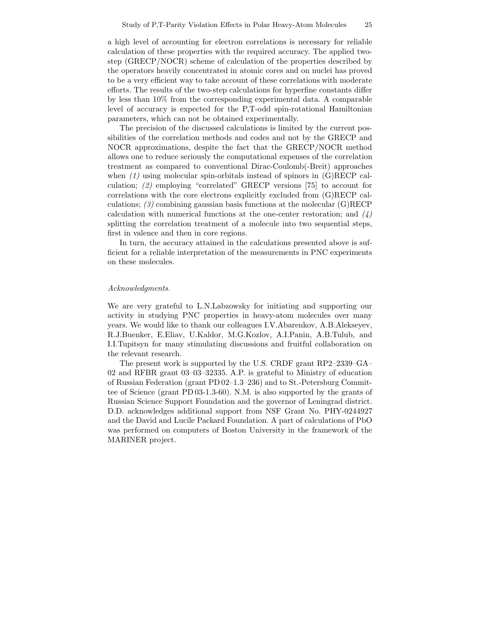a high level of accounting for electron correlations is necessary for reliable calculation of these properties with the required accuracy. The applied twostep (GRECP/NOCR) scheme of calculation of the properties described by the operators heavily concentrated in atomic cores and on nuclei has proved to be a very efficient way to take account of these correlations with moderate efforts. The results of the two-step calculations for hyperfine constants differ by less than 10% from the corresponding experimental data. A comparable level of accuracy is expected for the P,T-odd spin-rotational Hamiltonian parameters, which can not be obtained experimentally.

The precision of the discussed calculations is limited by the current possibilities of the correlation methods and codes and not by the GRECP and NOCR approximations, despite the fact that the GRECP/NOCR method allows one to reduce seriously the computational expenses of the correlation treatment as compared to conventional Dirac-Coulomb(-Breit) approaches when  $(1)$  using molecular spin-orbitals instead of spinors in  $(G)$ RECP calculation; (2) employing "correlated" GRECP versions [75] to account for correlations with the core electrons explicitly excluded from (G)RECP calculations;  $\langle 3 \rangle$  combining gaussian basis functions at the molecular (G)RECP calculation with numerical functions at the one-center restoration; and  $\langle 4 \rangle$ splitting the correlation treatment of a molecule into two sequential steps, first in valence and then in core regions.

In turn, the accuracy attained in the calculations presented above is sufficient for a reliable interpretation of the measurements in PNC experiments on these molecules.

#### Acknowledgments.

We are very grateful to L.N.Labzowsky for initiating and supporting our activity in studying PNC properties in heavy-atom molecules over many years. We would like to thank our colleagues I.V.Abarenkov, A.B.Alekseyev, R.J.Buenker, E.Eliav, U.Kaldor, M.G.Kozlov, A.I.Panin, A.B.Tulub, and I.I.Tupitsyn for many stimulating discussions and fruitful collaboration on the relevant research.

The present work is supported by the U.S. CRDF grant RP2–2339–GA– 02 and RFBR grant 03–03–32335. A.P. is grateful to Ministry of education of Russian Federation (grant PD 02–1.3–236) and to St.-Petersburg Committee of Science (grant PD 03-1.3-60). N.M. is also supported by the grants of Russian Science Support Foundation and the governor of Leningrad district. D.D. acknowledges additional support from NSF Grant No. PHY-0244927 and the David and Lucile Packard Foundation. A part of calculations of PbO was performed on computers of Boston University in the framework of the MARINER project.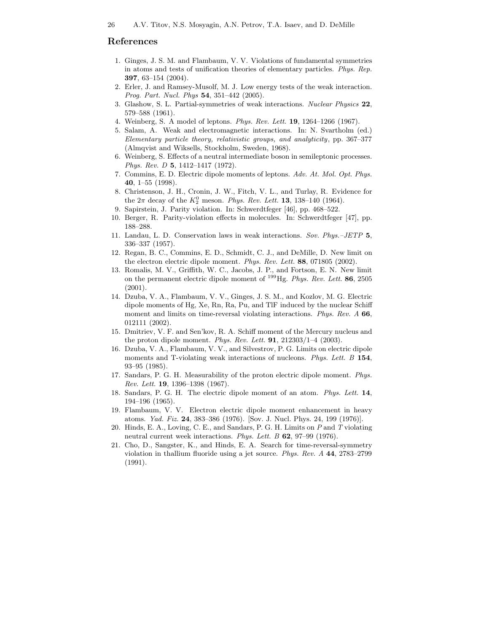#### References

- 1. Ginges, J. S. M. and Flambaum, V. V. Violations of fundamental symmetries in atoms and tests of unification theories of elementary particles. Phys. Rep. 397, 63–154 (2004).
- 2. Erler, J. and Ramsey-Musolf, M. J. Low energy tests of the weak interaction. Prog. Part. Nucl. Phys 54, 351-442 (2005).
- 3. Glashow, S. L. Partial-symmetries of weak interactions. Nuclear Physics 22, 579–588 (1961).
- 4. Weinberg, S. A model of leptons. Phys. Rev. Lett. 19, 1264–1266 (1967).
- 5. Salam, A. Weak and electromagnetic interactions. In: N. Svartholm (ed.) Elementary particle theory, relativistic groups, and analyticity, pp. 367–377 (Almqvist and Wiksells, Stockholm, Sweden, 1968).
- 6. Weinberg, S. Effects of a neutral intermediate boson in semileptonic processes. Phys. Rev. D 5, 1412-1417 (1972).
- 7. Commins, E. D. Electric dipole moments of leptons. Adv. At. Mol. Opt. Phys. 40,  $1-55$  (1998).
- 8. Christenson, J. H., Cronin, J. W., Fitch, V. L., and Turlay, R. Evidence for the  $2\pi$  decay of the  $K_2^0$  meson. Phys. Rev. Lett. **13**, 138–140 (1964).
- 9. Sapirstein, J. Parity violation. In: Schwerdtfeger [46], pp. 468–522.
- 10. Berger, R. Parity-violation effects in molecules. In: Schwerdtfeger [47], pp. 188–288.
- 11. Landau, L. D. Conservation laws in weak interactions. Sov. Phys.–JETP 5, 336–337 (1957).
- 12. Regan, B. C., Commins, E. D., Schmidt, C. J., and DeMille, D. New limit on the electron electric dipole moment. Phys. Rev. Lett. 88, 071805 (2002).
- 13. Romalis, M. V., Griffith, W. C., Jacobs, J. P., and Fortson, E. N. New limit on the permanent electric dipole moment of  $^{199}$ Hg. Phys. Rev. Lett. 86, 2505 (2001).
- 14. Dzuba, V. A., Flambaum, V. V., Ginges, J. S. M., and Kozlov, M. G. Electric dipole moments of Hg, Xe, Rn, Ra, Pu, and TlF induced by the nuclear Schiff moment and limits on time-reversal violating interactions. Phys. Rev. A 66, 012111 (2002).
- 15. Dmitriev, V. F. and Sen'kov, R. A. Schiff moment of the Mercury nucleus and the proton dipole moment. *Phys. Rev. Lett.* **91**,  $212303/1-4$  (2003).
- 16. Dzuba, V. A., Flambaum, V. V., and Silvestrov, P. G. Limits on electric dipole moments and T-violating weak interactions of nucleons. *Phys. Lett. B* 154, 93–95 (1985).
- 17. Sandars, P. G. H. Measurability of the proton electric dipole moment. Phys.  $Rev. Lett. 19, 1396-1398 (1967).$
- 18. Sandars, P. G. H. The electric dipole moment of an atom. Phys. Lett. 14, 194–196 (1965).
- 19. Flambaum, V. V. Electron electric dipole moment enhancement in heavy atoms. Yad. Fiz. 24, 383–386 (1976). [Sov. J. Nucl. Phys. 24, 199 (1976)].
- 20. Hinds, E. A., Loving, C. E., and Sandars, P. G. H. Limits on P and T violating neutral current week interactions. Phys. Lett. B 62, 97–99 (1976).
- 21. Cho, D., Sangster, K., and Hinds, E. A. Search for time-reversal-symmetry violation in thallium fluoride using a jet source. Phys. Rev. A 44, 2783–2799 (1991).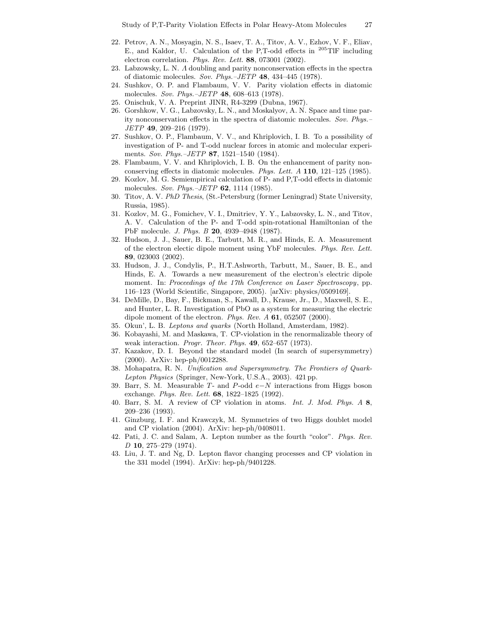- 22. Petrov, A. N., Mosyagin, N. S., Isaev, T. A., Titov, A. V., Ezhov, V. F., Eliav, E., and Kaldor, U. Calculation of the P,T-odd effects in  $^{205}$ TlF including electron correlation. Phys. Rev. Lett. 88, 073001 (2002).
- 23. Labzowsky, L. N. Λ doubling and parity nonconservation effects in the spectra of diatomic molecules. Sov. Phys.–JETP 48, 434–445 (1978).
- 24. Sushkov, O. P. and Flambaum, V. V. Parity violation effects in diatomic molecules. Sov. Phys.–JETP 48, 608–613 (1978).
- 25. Onischuk, V. A. Preprint JINR, R4-3299 (Dubna, 1967).
- 26. Gorshkow, V. G., Labzovsky, L. N., and Moskalyov, A. N. Space and time parity nonconservation effects in the spectra of diatomic molecules. Sov. Phys.– JETP 49, 209-216 (1979).
- 27. Sushkov, O. P., Flambaum, V. V., and Khriplovich, I. B. To a possibility of investigation of P- and T-odd nuclear forces in atomic and molecular experiments. Sov. Phys.-JETP 87, 1521-1540 (1984).
- 28. Flambaum, V. V. and Khriplovich, I. B. On the enhancement of parity nonconserving effects in diatomic molecules. Phys. Lett. A 110, 121–125 (1985).
- 29. Kozlov, M. G. Semiempirical calculation of P- and P,T-odd effects in diatomic molecules. Sov. Phys.–JETP 62, 1114 (1985).
- 30. Titov, A. V. PhD Thesis, (St.-Petersburg (former Leningrad) State University, Russia, 1985).
- 31. Kozlov, M. G., Fomichev, V. I., Dmitriev, Y. Y., Labzovsky, L. N., and Titov, A. V. Calculation of the P- and T-odd spin-rotational Hamiltonian of the PbF molecule. J. Phys. B 20, 4939–4948 (1987).
- 32. Hudson, J. J., Sauer, B. E., Tarbutt, M. R., and Hinds, E. A. Measurement of the electron electic dipole moment using YbF molecules. Phys. Rev. Lett. 89, 023003 (2002).
- 33. Hudson, J. J., Condylis, P., H.T.Ashworth, Tarbutt, M., Sauer, B. E., and Hinds, E. A. Towards a new measurement of the electron's electric dipole moment. In: Proceedings of the 17th Conference on Laser Spectroscopy, pp. 116–123 (World Scientific, Singapore, 2005). [arXiv: physics/0509169].
- 34. DeMille, D., Bay, F., Bickman, S., Kawall, D., Krause, Jr., D., Maxwell, S. E., and Hunter, L. R. Investigation of PbO as a system for measuring the electric dipole moment of the electron. *Phys. Rev. A* **61**, 052507 (2000).
- 35. Okun', L. B. Leptons and quarks (North Holland, Amsterdam, 1982).
- 36. Kobayashi, M. and Maskawa, T. CP-violation in the renormalizable theory of weak interaction. Progr. Theor. Phys.  $49,652-657$  (1973).
- 37. Kazakov, D. I. Beyond the standard model (In search of supersymmetry) (2000). ArXiv: hep-ph/0012288.
- 38. Mohapatra, R. N. Unification and Supersymmetry. The Frontiers of Quark-Lepton Physics (Springer, New-York, U.S.A., 2003). 421 pp.
- 39. Barr, S. M. Measurable T- and P-odd e−N interactions from Higgs boson exchange. Phys. Rev. Lett. 68, 1822–1825 (1992).
- 40. Barr, S. M. A review of CP violation in atoms. Int. J. Mod. Phys. A 8, 209–236 (1993).
- 41. Ginzburg, I. F. and Krawczyk, M. Symmetries of two Higgs doublet model and CP violation (2004). ArXiv: hep-ph/0408011.
- 42. Pati, J. C. and Salam, A. Lepton number as the fourth "color". Phys. Rev. D 10, 275-279 (1974).
- 43. Liu, J. T. and Ng, D. Lepton flavor changing processes and CP violation in the 331 model (1994). ArXiv: hep-ph/9401228.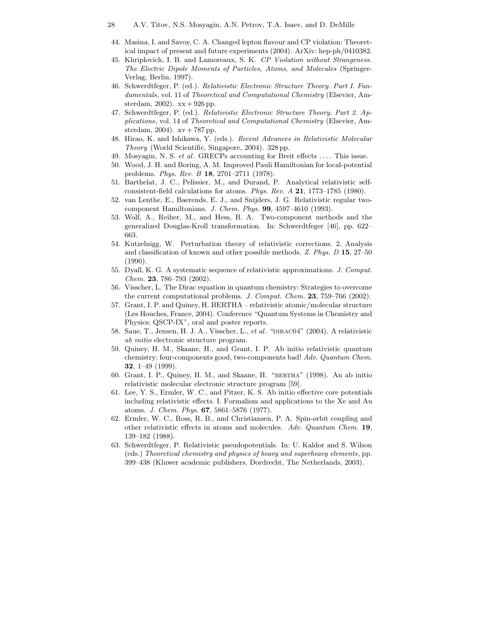- 44. Masina, I. and Savoy, C. A. Changed lepton flavour and CP violation: Theoretical impact of present and future experiments (2004). ArXiv: hep-ph/0410382.
- 45. Khriplovich, I. B. and Lamoreaux, S. K. CP Violation without Strangeness. The Electric Dipole Moments of Particles, Atoms, and Molecules (Springer-Verlag, Berlin, 1997).
- 46. Schwerdtfeger, P. (ed.). Relativistic Electronic Structure Theory. Part I. Fundamentals, vol. 11 of Theoretical and Computational Chemistry (Elsevier, Amsterdam, 2002).  $xx + 926$  pp.
- 47. Schwerdtfeger, P. (ed.). Relativistic Electronic Structure Theory. Part 2. Applications, vol. 14 of Theoretical and Computational Chemistry (Elsevier, Amsterdam, 2004).  $xy + 787$  pp.
- 48. Hirao, K. and Ishikawa, Y. (eds.). Recent Advances in Relativistic Molecular Theory (World Scientific, Singapore, 2004). 328 pp.
- 49. Mosyagin, N. S. et al. GRECPs accounting for Breit effects .... This issue.
- 50. Wood, J. H. and Boring, A. M. Improved Pauli Hamiltonian for local-potential problems. *Phys. Rev. B* 18, 2701-2711 (1978).
- 51. Barthelat, J. C., Pelissier, M., and Durand, P. Analytical relativistic selfconsistent-field calculations for atoms. Phys. Rev. A 21, 1773–1785 (1980).
- 52. van Lenthe, E., Baerends, E. J., and Snijders, J. G. Relativistic regular twocomponent Hamiltonians. J. Chem. Phys. 99, 4597–4610 (1993).
- 53. Wolf, A., Reiher, M., and Hess, B. A. Two-component methods and the generalized Douglas-Kroll transformation. In: Schwerdtfeger [46], pp. 622– 663.
- 54. Kutzelnigg, W. Perturbation theory of relativistic corrections. 2. Analysis and classification of known and other possible methods. Z. Phys. D 15, 27–50 (1990).
- 55. Dyall, K. G. A systematic sequence of relativistic approximations. J. Comput. Chem. 23, 786–793 (2002).
- 56. Visscher, L. The Dirac equation in quantum chemistry: Strategies to overcome the current computational problems. J. Comput. Chem. 23, 759–766 (2002).
- 57. Grant, I. P. and Quiney, H. BERTHA relativistic atomic/molecular structure (Les Houches, France, 2004). Conference "Quantum Systems in Chemistry and Physics: QSCP-IX", oral and poster reports.
- 58. Saue, T., Jensen, H. J. A., Visscher, L.,  $et al.$  "DIRAC04" (2004). A relativistic ab initio electronic structure program.
- 59. Quiney, H. M., Skaane, H., and Grant, I. P. Ab initio relativistic quantum chemistry: four-components good, two-components bad! Adv. Quantum Chem. 32, 1–49 (1999).
- 60. Grant, I. P., Quiney, H. M., and Skaane, H. "bertha" (1998). An ab initio relativistic molecular electronic structure program [59].
- 61. Lee, Y. S., Ermler, W. C., and Pitzer, K. S. Ab initio effective core potentials including relativistic effects. I. Formalism and applications to the Xe and Au atoms. J. Chem. Phys. 67, 5861–5876 (1977).
- 62. Ermler, W. C., Ross, R. B., and Christiansen, P. A. Spin-orbit coupling and other relativistic effects in atoms and molecules. Adv. Quantum Chem. 19, 139–182 (1988).
- 63. Schwerdtfeger, P. Relativistic pseudopotentials. In: U. Kaldor and S. Wilson (eds.) Theoretical chemistry and physics of heavy and superheavy elements, pp. 399–438 (Kluwer academic publishers, Dordrecht, The Netherlands, 2003).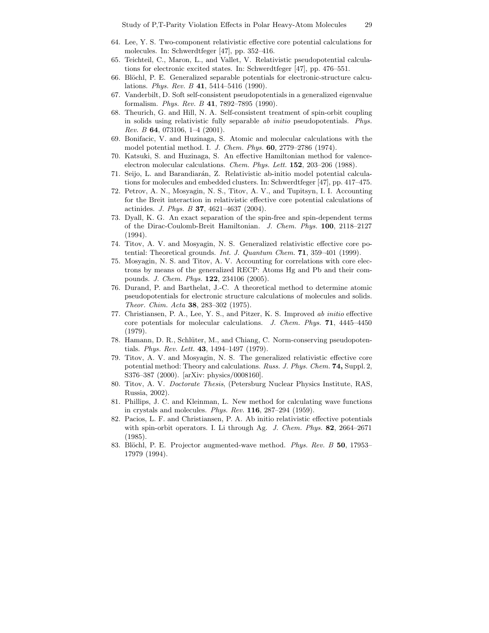- 64. Lee, Y. S. Two-component relativistic effective core potential calculations for molecules. In: Schwerdtfeger [47], pp. 352–416.
- 65. Teichteil, C., Maron, L., and Vallet, V. Relativistic pseudopotential calculations for electronic excited states. In: Schwerdtfeger [47], pp. 476–551.
- 66. Blöchl, P. E. Generalized separable potentials for electronic-structure calculations. Phys. Rev. B 41, 5414–5416 (1990).
- 67. Vanderbilt, D. Soft self-consistent pseudopotentials in a generalized eigenvalue formalism. Phys. Rev. B 41, 7892–7895 (1990).
- 68. Theurich, G. and Hill, N. A. Self-consistent treatment of spin-orbit coupling in solids using relativistic fully separable ab initio pseudopotentials. Phys. Rev. B 64, 073106, 1-4  $(2001)$ .
- 69. Bonifacic, V. and Huzinaga, S. Atomic and molecular calculations with the model potential method. I. J. Chem. Phys. 60, 2779–2786 (1974).
- 70. Katsuki, S. and Huzinaga, S. An effective Hamiltonian method for valenceelectron molecular calculations. Chem. Phys. Lett. 152, 203–206 (1988).
- 71. Seijo, L. and Barandiar´an, Z. Relativistic ab-initio model potential calculations for molecules and embedded clusters. In: Schwerdtfeger [47], pp. 417–475.
- 72. Petrov, A. N., Mosyagin, N. S., Titov, A. V., and Tupitsyn, I. I. Accounting for the Breit interaction in relativistic effective core potential calculations of actinides. J. Phys. B 37, 4621–4637 (2004).
- 73. Dyall, K. G. An exact separation of the spin-free and spin-dependent terms of the Dirac-Coulomb-Breit Hamiltonian. J. Chem. Phys. 100, 2118–2127 (1994).
- 74. Titov, A. V. and Mosyagin, N. S. Generalized relativistic effective core potential: Theoretical grounds. Int. J. Quantum Chem.  $71$ ,  $359-401$  (1999).
- 75. Mosyagin, N. S. and Titov, A. V. Accounting for correlations with core electrons by means of the generalized RECP: Atoms Hg and Pb and their compounds. J. Chem. Phys. 122, 234106 (2005).
- 76. Durand, P. and Barthelat, J.-C. A theoretical method to determine atomic pseudopotentials for electronic structure calculations of molecules and solids. Theor. Chim. Acta 38, 283–302 (1975).
- 77. Christiansen, P. A., Lee, Y. S., and Pitzer, K. S. Improved ab initio effective core potentials for molecular calculations. J. Chem. Phys. 71, 4445–4450 (1979).
- 78. Hamann, D. R., Schlüter, M., and Chiang, C. Norm-conserving pseudopotentials. Phys. Rev. Lett. 43, 1494-1497 (1979).
- 79. Titov, A. V. and Mosyagin, N. S. The generalized relativistic effective core potential method: Theory and calculations. Russ. J. Phys. Chem. **74**, Suppl. 2, S376–387 (2000). [arXiv: physics/0008160].
- 80. Titov, A. V. Doctorate Thesis, (Petersburg Nuclear Physics Institute, RAS, Russia, 2002).
- 81. Phillips, J. C. and Kleinman, L. New method for calculating wave functions in crystals and molecules. Phys. Rev. 116, 287–294 (1959).
- 82. Pacios, L. F. and Christiansen, P. A. Ab initio relativistic effective potentials with spin-orbit operators. I. Li through Ag. J. Chem. Phys. 82, 2664–2671 (1985).
- 83. Blöchl, P. E. Projector augmented-wave method. Phys. Rev. B 50, 17953– 17979 (1994).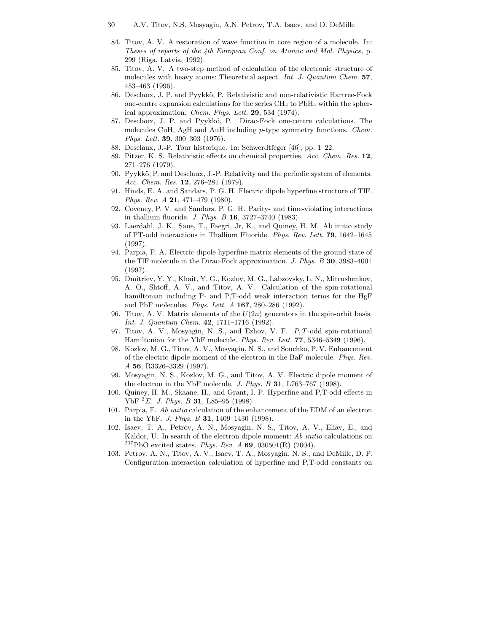- 84. Titov, A. V. A restoration of wave function in core region of a molecule. In: Theses of reports of the 4th European Conf. on Atomic and Mol. Physics, p. 299 (Riga, Latvia, 1992).
- 85. Titov, A. V. A two-step method of calculation of the electronic structure of molecules with heavy atoms: Theoretical aspect. Int. J. Quantum Chem. 57, 453–463 (1996).
- 86. Desclaux, J. P. and Pyykkö, P. Relativistic and non-relativistic Hartree-Fock one-centre expansion calculations for the series  $CH_4$  to  $PbH_4$  within the spherical approximation. Chem. Phys. Lett. 29, 534 (1974).
- 87. Desclaux, J. P. and Pyykkö, P. Dirac-Fock one-centre calculations. The molecules CuH, AgH and AuH including p-type symmetry functions. Chem. Phys. Lett. **39**, 300–303 (1976).
- 88. Desclaux, J.-P. Tour historique. In: Schwerdtfeger [46], pp. 1–22.
- 89. Pitzer, K. S. Relativistic effects on chemical properties. Acc. Chem. Res. 12, 271–276 (1979).
- 90. Pyykkö, P. and Desclaux, J.-P. Relativity and the periodic system of elements. Acc. Chem. Res. **12**, 276-281 (1979).
- 91. Hinds, E. A. and Sandars, P. G. H. Electric dipole hyperfine structure of TlF. *Phys. Rev. A* 21, 471–479 (1980).
- 92. Coveney, P. V. and Sandars, P. G. H. Parity- and time-violating interactions in thallium fluoride. J. Phys. B 16, 3727–3740 (1983).
- 93. Laerdahl, J. K., Saue, T., Faegri, Jr, K., and Quiney, H. M. Ab initio study of PT-odd interactions in Thallium Fluoride. Phys. Rev. Lett. 79, 1642–1645 (1997).
- 94. Parpia, F. A. Electric-dipole hyperfine matrix elements of the ground state of the TlF molecule in the Dirac-Fock approximation. J. Phys. B 30, 3983–4001 (1997).
- 95. Dmitriev, Y. Y., Khait, Y. G., Kozlov, M. G., Labzovsky, L. N., Mitrushenkov, A. O., Shtoff, A. V., and Titov, A. V. Calculation of the spin-rotational hamiltonian including P- and P,T-odd weak interaction terms for the HgF and PbF molecules. Phys. Lett. A 167, 280–286 (1992).
- 96. Titov, A. V. Matrix elements of the  $U(2n)$  generators in the spin-orbit basis. Int. J. Quantum Chem. **42**, 1711–1716 (1992).
- 97. Titov, A. V., Mosyagin, N. S., and Ezhov, V. F. P, T-odd spin-rotational Hamiltonian for the YbF molecule. Phys. Rev. Lett. 77, 5346–5349 (1996).
- 98. Kozlov, M. G., Titov, A. V., Mosyagin, N. S., and Souchko, P. V. Enhancement of the electric dipole moment of the electron in the BaF molecule. Phys. Rev. A 56, R3326–3329 (1997).
- 99. Mosyagin, N. S., Kozlov, M. G., and Titov, A. V. Electric dipole moment of the electron in the YbF molecule. J. Phys. B  $31$ , L763–767 (1998).
- 100. Quiney, H. M., Skaane, H., and Grant, I. P. Hyperfine and P,T-odd effects in  $YbF<sup>2</sup>Σ. J. Phys. B$  31, L85–95 (1998).
- 101. Parpia, F. Ab initio calculation of the enhancement of the EDM of an electron in the YbF. *J. Phys. B* **31**, 1409–1430 (1998).
- 102. Isaev, T. A., Petrov, A. N., Mosyagin, N. S., Titov, A. V., Eliav, E., and Kaldor, U. In search of the electron dipole moment: Ab initio calculations on  $^{207}$ PbO excited states. *Phys. Rev. A* 69, 030501(R) (2004).
- 103. Petrov, A. N., Titov, A. V., Isaev, T. A., Mosyagin, N. S., and DeMille, D. P. Configuration-interaction calculation of hyperfine and P,T-odd constants on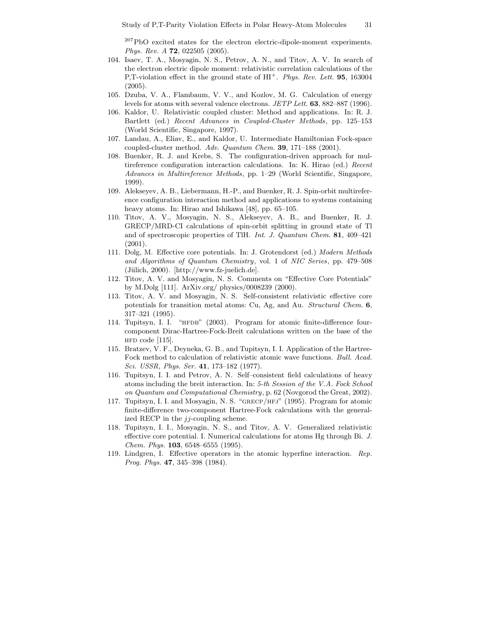$207PbO$  excited states for the electron electric-dipole-moment experiments. Phys. Rev. A 72, 022505 (2005).

- 104. Isaev, T. A., Mosyagin, N. S., Petrov, A. N., and Titov, A. V. In search of the electron electric dipole moment: relativistic correlation calculations of the P,T-violation effect in the ground state of  $HI^+$ . Phys. Rev. Lett. **95**, 163004  $(2005).$
- 105. Dzuba, V. A., Flambaum, V. V., and Kozlov, M. G. Calculation of energy levels for atoms with several valence electrons. JETP Lett. 63, 882–887 (1996).
- 106. Kaldor, U. Relativistic coupled cluster: Method and applications. In: R. J. Bartlett (ed.) Recent Advances in Coupled-Cluster Methods, pp. 125–153 (World Scientific, Singapore, 1997).
- 107. Landau, A., Eliav, E., and Kaldor, U. Intermediate Hamiltonian Fock-space coupled-cluster method. Adv. Quantum Chem. 39, 171–188 (2001).
- 108. Buenker, R. J. and Krebs, S. The configuration-driven approach for multireference configuration interaction calculations. In: K. Hirao (ed.) Recent Advances in Multireference Methods, pp. 1–29 (World Scientific, Singapore, 1999).
- 109. Alekseyev, A. B., Liebermann, H.-P., and Buenker, R. J. Spin-orbit multireference configuration interaction method and applications to systems containing heavy atoms. In: Hirao and Ishikawa [48], pp. 65–105.
- 110. Titov, A. V., Mosyagin, N. S., Alekseyev, A. B., and Buenker, R. J. GRECP/MRD-CI calculations of spin-orbit splitting in ground state of Tl and of spectroscopic properties of TlH. Int. J. Quantum Chem. 81, 409–421 (2001).
- 111. Dolg, M. Effective core potentials. In: J. Grotendorst (ed.) Modern Methods and Algorithms of Quantum Chemistry, vol. 1 of NIC Series, pp. 479–508 (Jülich, 2000). [http://www.fz-juelich.de].
- 112. Titov, A. V. and Mosyagin, N. S. Comments on "Effective Core Potentials" by M.Dolg [111]. ArXiv.org/ physics/0008239 (2000).
- 113. Titov, A. V. and Mosyagin, N. S. Self-consistent relativistic effective core potentials for transition metal atoms: Cu, Ag, and Au. Structural Chem. 6, 317–321 (1995).
- 114. Tupitsyn, I. I. "HFDB" (2003). Program for atomic finite-difference fourcomponent Dirac-Hartree-Fock-Breit calculations written on the base of the  $HFD code [115].$
- 115. Bratzev, V. F., Deyneka, G. B., and Tupitsyn, I. I. Application of the Hartree-Fock method to calculation of relativistic atomic wave functions. Bull. Acad. Sci. USSR, Phys. Ser. 41, 173–182 (1977).
- 116. Tupitsyn, I. I. and Petrov, A. N. Self–consistent field calculations of heavy atoms including the breit interaction. In: 5-th Session of the V.A. Fock School on Quantum and Computational Chemistry, p. 62 (Novgorod the Great, 2002).
- 117. Tupitsyn, I. I. and Mosyagin, N. S. "grecp/hfj" (1995). Program for atomic finite-difference two-component Hartree-Fock calculations with the generalized RECP in the  $jj$ -coupling scheme.
- 118. Tupitsyn, I. I., Mosyagin, N. S., and Titov, A. V. Generalized relativistic effective core potential. I. Numerical calculations for atoms Hg through Bi. J. Chem. Phys. 103, 6548–6555 (1995).
- 119. Lindgren, I. Effective operators in the atomic hyperfine interaction. Rep. Prog. Phys. **47**, 345–398 (1984).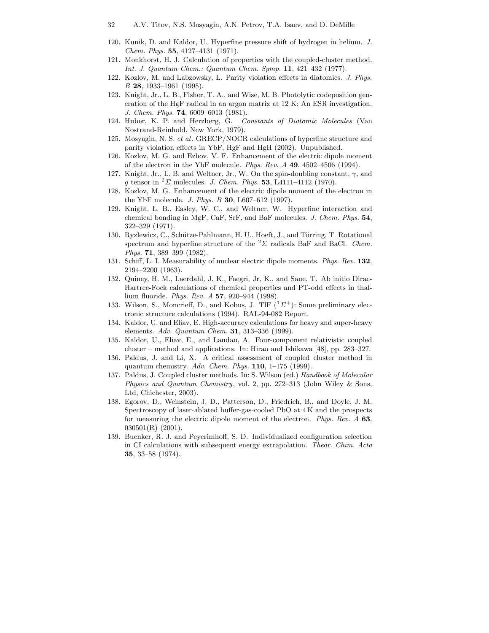- 120. Kunik, D. and Kaldor, U. Hyperfine pressure shift of hydrogen in helium. J. Chem. Phys. 55, 4127–4131 (1971).
- 121. Monkhorst, H. J. Calculation of properties with the coupled-cluster method. Int. J. Quantum Chem.: Quantum Chem. Symp. 11, 421–432 (1977).
- 122. Kozlov, M. and Labzowsky, L. Parity violation effects in diatomics. J. Phys.  $B$  28, 1933–1961 (1995).
- 123. Knight, Jr., L. B., Fisher, T. A., and Wise, M. B. Photolytic codeposition generation of the HgF radical in an argon matrix at 12 K: An ESR investigation. J. Chem. Phys. 74, 6009–6013 (1981).
- 124. Huber, K. P. and Herzberg, G. Constants of Diatomic Molecules (Van Nostrand-Reinhold, New York, 1979).
- 125. Mosyagin, N. S. et al. GRECP/NOCR calculations of hyperfine structure and parity violation effects in YbF, HgF and HgH (2002). Unpublished.
- 126. Kozlov, M. G. and Ezhov, V. F. Enhancement of the electric dipole moment of the electron in the YbF molecule. Phys. Rev.  $A$  49, 4502-4506 (1994).
- 127. Knight, Jr., L. B. and Weltner, Jr., W. On the spin-doubling constant,  $\gamma$ , and g tensor in <sup>2</sup> $\Sigma$  molecules. J. Chem. Phys. **53**, L4111-4112 (1970).
- 128. Kozlov, M. G. Enhancement of the electric dipole moment of the electron in the YbF molecule. J. Phys. B 30, L607–612 (1997).
- 129. Knight, L. B., Easley, W. C., and Weltner, W. Hyperfine interaction and chemical bonding in MgF, CaF, SrF, and BaF molecules. J. Chem. Phys. 54, 322–329 (1971).
- 130. Ryzlewicz, C., Schütze-Pahlmann, H. U., Hoeft, J., and Törring, T. Rotational spectrum and hyperfine structure of the  ${}^{2}Σ$  radicals BaF and BaCl. Chem. Phys. 71, 389-399  $(1982)$ .
- 131. Schiff, L. I. Measurability of nuclear electric dipole moments. Phys. Rev. 132, 2194–2200 (1963).
- 132. Quiney, H. M., Laerdahl, J. K., Faegri, Jr, K., and Saue, T. Ab initio Dirac-Hartree-Fock calculations of chemical properties and PT-odd effects in thallium fluoride. Phys. Rev. A 57, 920–944 (1998).
- 133. Wilson, S., Moncrieff, D., and Kobus, J. TlF  $(^1\Sigma^+)$ : Some preliminary electronic structure calculations (1994). RAL-94-082 Report.
- 134. Kaldor, U. and Eliav, E. High-accuracy calculations for heavy and super-heavy elements. Adv. Quantum Chem. 31, 313–336 (1999).
- 135. Kaldor, U., Eliav, E., and Landau, A. Four-component relativistic coupled cluster – method and applications. In: Hirao and Ishikawa [48], pp. 283–327.
- 136. Paldus, J. and Li, X. A critical assessment of coupled cluster method in quantum chemistry. Adv. Chem. Phys.  $110$ ,  $1-175$  (1999).
- 137. Paldus, J. Coupled cluster methods. In: S. Wilson (ed.) Handbook of Molecular Physics and Quantum Chemistry, vol. 2, pp. 272–313 (John Wiley & Sons, Ltd, Chichester, 2003).
- 138. Egorov, D., Weinstein, J. D., Patterson, D., Friedrich, B., and Doyle, J. M. Spectroscopy of laser-ablated buffer-gas-cooled PbO at 4 K and the prospects for measuring the electric dipole moment of the electron. Phys. Rev. A 63, 030501(R) (2001).
- 139. Buenker, R. J. and Peyerimhoff, S. D. Individualized configuration selection in CI calculations with subsequent energy extrapolation. Theor. Chim. Acta 35, 33–58 (1974).